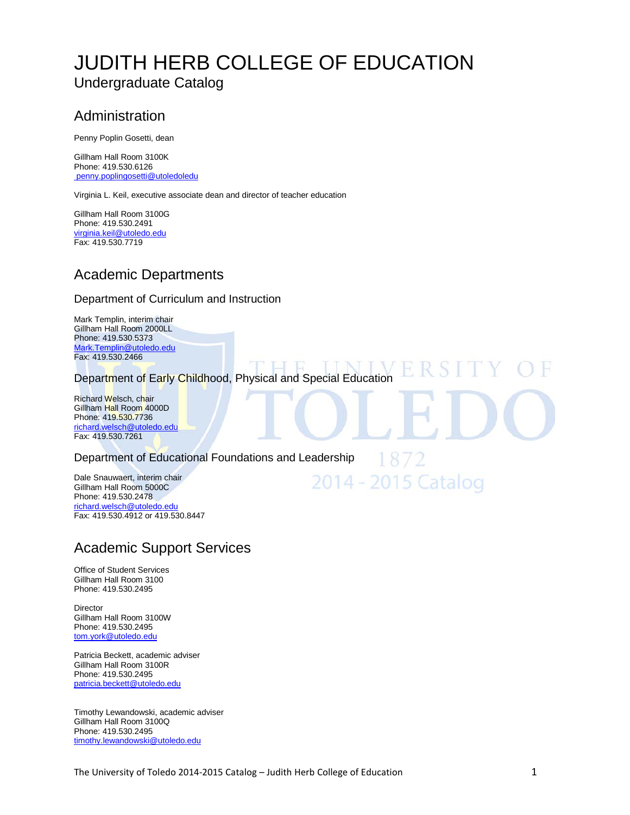## [JUDITH HERB COLLEGE OF EDUCATION](http://utoledo.edu/education/) Undergraduate Catalog

## Administration

Penny Poplin Gosetti, dean

Gillham Hall Room 3100K Phone: 419.530.6126 [penny.poplingosetti@utoledoledu](mailto:beverly.schmoll@utoledo.edu)

Virginia L. Keil, executive associate dean and director of teacher education

Gillham Hall Room 3100G Phone: 419.530.2491 [virginia.keil@utoledo.edu](mailto:virginia.keil@utoledo.edu) Fax: 419.530.7719

## Academic Departments

#### Department of Curriculum and Instruction

Mark Templin, interim chair Gillham Hall Room 2000LL Phone: 419.530.5373 [Mark.Templin@utoledo.edu](mailto:morris.jenkins@utoledo.edu) Fax: 419.530.2466

TT NT Ħ. Department of Early Childhood, Physical and Special Education

1872

2014 - 2015 Catalog

Richard Welsch, chair Gillham Hall Room 4000D Phone: 419.530.7736 [richard.welsch@utoledo.edu](mailto:morris.jenkins@utoledo.edu) Fax: 419.530.7261

Department of Educational Foundations and Leadership

Dale Snauwaert, interim chair Gillham Hall Room 5000C Phone: 419.530.2478 [richard.welsch@utoledo.edu](mailto:william.gray@utoledo.edu) Fax: 419.530.4912 or 419.530.8447

## Academic Support Services

Office of Student Services Gillham Hall Room 3100 Phone: 419.530.2495

Director Gillham Hall Room 3100W Phone: 419.530.2495 [tom.york@utoledo.edu](mailto:tom.york@utoledo.edu)

Patricia Beckett, academic adviser Gillham Hall Room 3100R Phone: 419.530.2495 [patricia.beckett@utoledo.edu](mailto:patricia.beckett@utoledo.edu)

Timothy Lewandowski, academic adviser Gillham Hall Room 3100Q Phone: 419.530.2495 [timothy.lewandowski@utoledo.edu](mailto:timothy.lewandowski@utoledo.edu)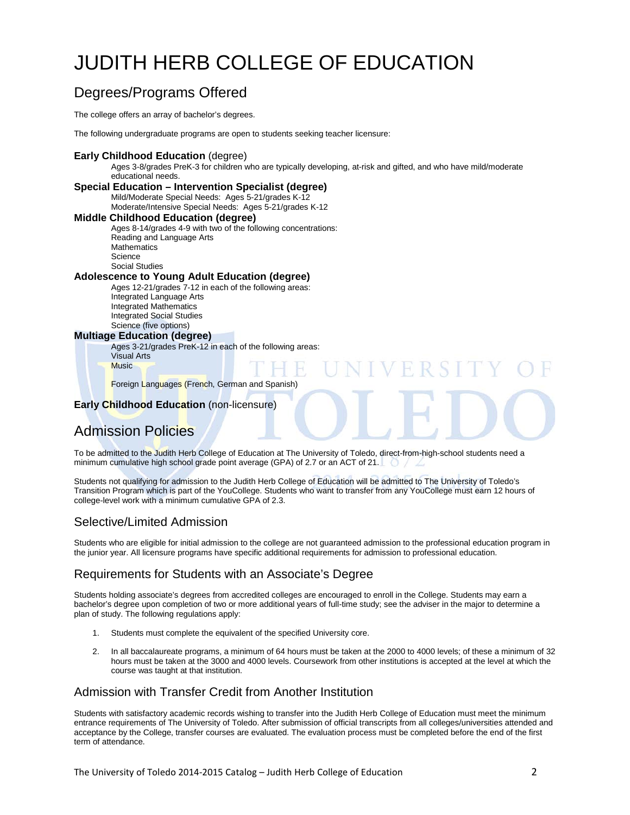# JUDITH [HERB COLLEGE OF EDUCATION](http://utoledo.edu/education/)

## Degrees/Programs Offered

The college offers an array of bachelor's degrees.

The following undergraduate programs are open to students seeking teacher licensure:

#### **Early Childhood Education** (degree)

Ages 3-8/grades PreK-3 for children who are typically developing, at-risk and gifted, and who have mild/moderate educational needs.

#### **Special Education – Intervention Specialist (degree)**

Mild/Moderate Special Needs: Ages 5-21/grades K-12 Moderate/Intensive Special Needs: Ages 5-21/grades K-12

#### **Middle Childhood Education (degree)**

Ages 8-14/grades 4-9 with two of the following concentrations: Reading and Language Arts **Mathematics** Science Social Studies

#### **Adolescence to Young Adult Education (degree)**

Ages 12-21/grades 7-12 in each of the following areas: Integrated Language Arts Integrated Mathematics Integrated Social Studies Science (five options)

#### **Multiage Education (degree)**

Ages 3-21/grades PreK-12 in each of the following areas:

Visual Arts **Music** 

Foreign Languages (French, German and Spanish)

#### **Early Childhood Education** (non-licensure)

## Admission Policies

To be admitted to the Judith Herb College of Education at The University of Toledo, direct-from-high-school students need a minimum cumulative high school grade point average (GPA) of 2.7 or an ACT of 21.

FRSI

Students not qualifying for admission to the Judith Herb College of Education will be admitted to The University of Toledo's Transition Program which is part of the YouCollege. Students who want to transfer from any YouCollege must earn 12 hours of college-level work with a minimum cumulative GPA of 2.3.

#### Selective/Limited Admission

Students who are eligible for initial admission to the college are not guaranteed admission to the professional education program in the junior year. All licensure programs have specific additional requirements for admission to professional education.

#### Requirements for Students with an Associate's Degree

Students holding associate's degrees from accredited colleges are encouraged to enroll in the College. Students may earn a bachelor's degree upon completion of two or more additional years of full-time study; see the adviser in the major to determine a plan of study. The following regulations apply:

- 1. Students must complete the equivalent of the specified University core.
- 2. In all baccalaureate programs, a minimum of 64 hours must be taken at the 2000 to 4000 levels; of these a minimum of 32 hours must be taken at the 3000 and 4000 levels. Coursework from other institutions is accepted at the level at which the course was taught at that institution.

#### Admission with Transfer Credit from Another Institution

Students with satisfactory academic records wishing to transfer into the Judith Herb College of Education must meet the minimum entrance requirements of The University of Toledo. After submission of official transcripts from all colleges/universities attended and acceptance by the College, transfer courses are evaluated. The evaluation process must be completed before the end of the first term of attendance.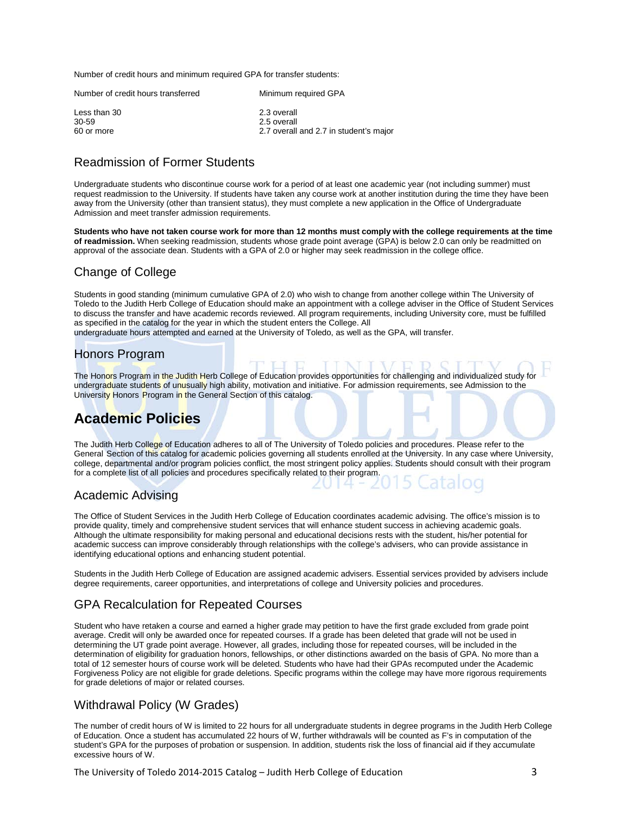Number of credit hours and minimum required GPA for transfer students:

| Number of credit hours transferred  | Minimum required GPA                                                 |
|-------------------------------------|----------------------------------------------------------------------|
| Less than 30<br>30-59<br>60 or more | 2.3 overall<br>2.5 overall<br>2.7 overall and 2.7 in student's major |
|                                     |                                                                      |

#### Readmission of Former Students

Undergraduate students who discontinue course work for a period of at least one academic year (not including summer) must request readmission to the University. If students have taken any course work at another institution during the time they have been away from the University (other than transient status), they must complete a new application in the Office of Undergraduate Admission and meet transfer admission requirements.

**Students who have not taken course work for more than 12 months must comply with the college requirements at the time of readmission.** When seeking readmission, students whose grade point average (GPA) is below 2.0 can only be readmitted on approval of the associate dean. Students with a GPA of 2.0 or higher may seek readmission in the college office.

#### Change of College

Students in good standing (minimum cumulative GPA of 2.0) who wish to change from another college within The University of Toledo to the Judith Herb College of Education should make an appointment with a college adviser in the Office of Student Services to discuss the transfer and have academic records reviewed. All program requirements, including University core, must be fulfilled as specified in the catalog for the year in which the student enters the College. All

undergraduate hours attempted and earned at the University of Toledo, as well as the GPA, will transfer.

#### Honors Program

The Honors Program in the Judith Herb College of Education provides opportunities for challenging and individualized study for undergraduate students of unusually high ability, motivation and initiative. For admission requirements, see Admission to the University Honors Program in the General Section of this catalog.

## **Academic Policies**

The Judith Herb College of Education adheres to all of The University of Toledo policies and procedures. Please refer to the General Section of this catalog for academic policies governing all students enrolled at the University. In any case where University, college, departmental and/or program policies conflict, the most stringent policy applies. Students should consult with their program for a complete list of all policies and procedures specifically related to their program.

#### Academic Advising

The Office of Student Services in the Judith Herb College of Education coordinates academic advising. The office's mission is to provide quality, timely and comprehensive student services that will enhance student success in achieving academic goals. Although the ultimate responsibility for making personal and educational decisions rests with the student, his/her potential for academic success can improve considerably through relationships with the college's advisers, who can provide assistance in identifying educational options and enhancing student potential.

Students in the Judith Herb College of Education are assigned academic advisers. Essential services provided by advisers include degree requirements, career opportunities, and interpretations of college and University policies and procedures.

### GPA Recalculation for Repeated Courses

Student who have retaken a course and earned a higher grade may petition to have the first grade excluded from grade point average. Credit will only be awarded once for repeated courses. If a grade has been deleted that grade will not be used in determining the UT grade point average. However, all grades, including those for repeated courses, will be included in the determination of eligibility for graduation honors, fellowships, or other distinctions awarded on the basis of GPA. No more than a total of 12 semester hours of course work will be deleted. Students who have had their GPAs recomputed under the Academic Forgiveness Policy are not eligible for grade deletions. Specific programs within the college may have more rigorous requirements for grade deletions of major or related courses.

### Withdrawal Policy (W Grades)

The number of credit hours of W is limited to 22 hours for all undergraduate students in degree programs in the Judith Herb College of Education. Once a student has accumulated 22 hours of W, further withdrawals will be counted as F's in computation of the student's GPA for the purposes of probation or suspension. In addition, students risk the loss of financial aid if they accumulate excessive hours of W.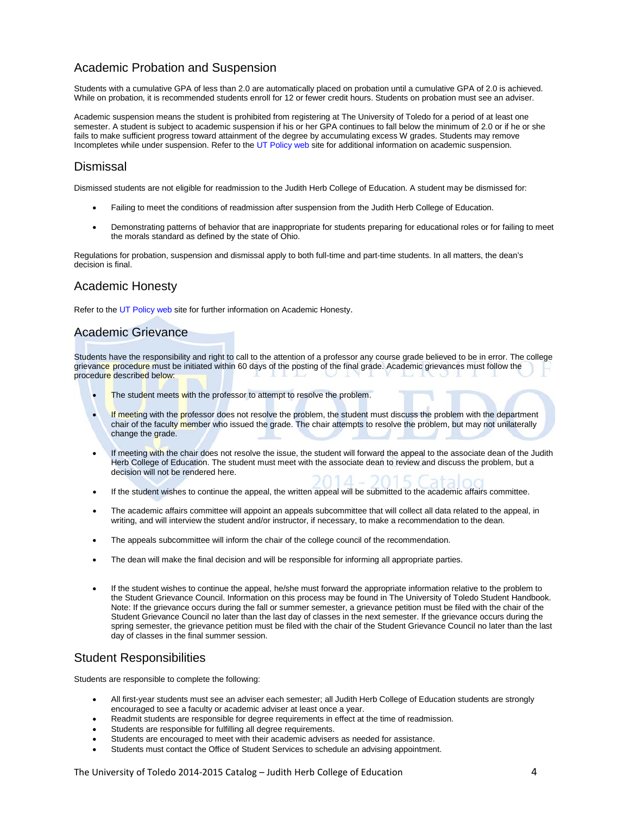### Academic Probation and Suspension

Students with a cumulative GPA of less than 2.0 are automatically placed on probation until a cumulative GPA of 2.0 is achieved. While on probation, it is recommended students enroll for 12 or fewer credit hours. Students on probation must see an adviser.

Academic suspension means the student is prohibited from registering at The University of Toledo for a period of at least one semester. A student is subject to academic suspension if his or her GPA continues to fall below the minimum of 2.0 or if he or she fails to make sufficient progress toward attainment of the degree by accumulating excess W grades. Students may remove Incompletes while under suspension. Refer to th[e UT Policy web](http://utoledo.edu/policies/) site for additional information on academic suspension.

#### Dismissal

Dismissed students are not eligible for readmission to the Judith Herb College of Education. A student may be dismissed for:

- Failing to meet the conditions of readmission after suspension from the Judith Herb College of Education.
- Demonstrating patterns of behavior that are inappropriate for students preparing for educational roles or for failing to meet the morals standard as defined by the state of Ohio.

Regulations for probation, suspension and dismissal apply to both full-time and part-time students. In all matters, the dean's decision is final.

#### Academic Honesty

Refer to the [UT Policy web](http://utoledo.edu/policies/) site for further information on Academic Honesty.

#### Academic Grievance

Students have the responsibility and right to call to the attention of a professor any course grade believed to be in error. The college grievance procedure must be initiated within 60 days of the posting of the final grade. Academic grievances must follow the procedure described below:

- The student meets with the professor to attempt to resolve the problem.
- If meeting with the professor does not resolve the problem, the student must discuss the problem with the department chair of the faculty member who issued the grade. The chair attempts to resolve the problem, but may not unilaterally change the grade.
- If meeting with the chair does not resolve the issue, the student will forward the appeal to the associate dean of the Judith Herb College of Education. The student must meet with the associate dean to review and discuss the problem, but a decision will not be rendered here.
- If the student wishes to continue the appeal, the written appeal will be submitted to the academic affairs committee.
- The academic affairs committee will appoint an appeals subcommittee that will collect all data related to the appeal, in writing, and will interview the student and/or instructor, if necessary, to make a recommendation to the dean.
- The appeals subcommittee will inform the chair of the college council of the recommendation.
- The dean will make the final decision and will be responsible for informing all appropriate parties.
- If the student wishes to continue the appeal, he/she must forward the appropriate information relative to the problem to the Student Grievance Council. Information on this process may be found in The University of Toledo Student Handbook. Note: If the grievance occurs during the fall or summer semester, a grievance petition must be filed with the chair of the Student Grievance Council no later than the last day of classes in the next semester. If the grievance occurs during the spring semester, the grievance petition must be filed with the chair of the Student Grievance Council no later than the last day of classes in the final summer session.

#### Student Responsibilities

Students are responsible to complete the following:

- All first-year students must see an adviser each semester; all Judith Herb College of Education students are strongly encouraged to see a faculty or academic adviser at least once a year.
- Readmit students are responsible for degree requirements in effect at the time of readmission.
- Students are responsible for fulfilling all degree requirements.
- Students are encouraged to meet with their academic advisers as needed for assistance.
- Students must contact the Office of Student Services to schedule an advising appointment.

The University of Toledo 2014-2015 Catalog – Judith Herb College of Education 4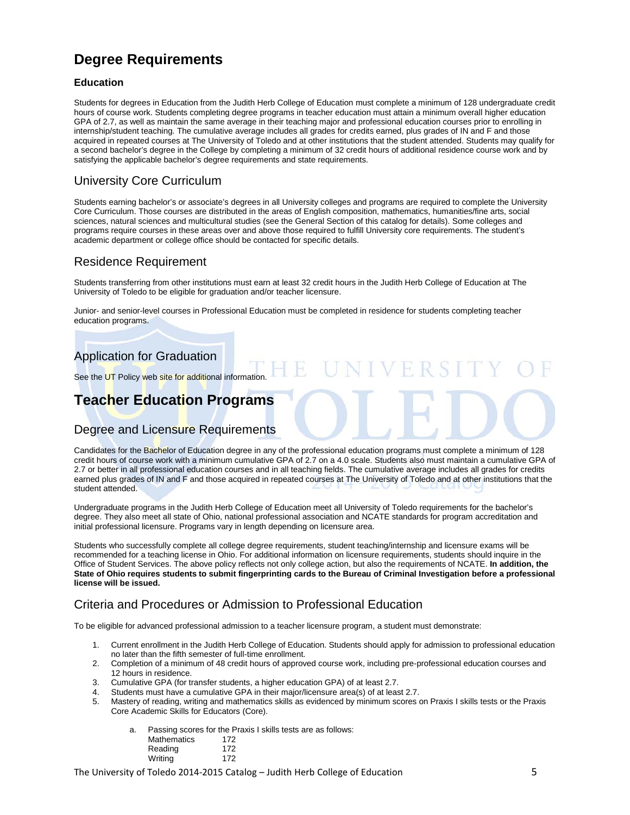## **Degree Requirements**

#### **Education**

Students for degrees in Education from the Judith Herb College of Education must complete a minimum of 128 undergraduate credit hours of course work. Students completing degree programs in teacher education must attain a minimum overall higher education GPA of 2.7, as well as maintain the same average in their teaching major and professional education courses prior to enrolling in internship/student teaching. The cumulative average includes all grades for credits earned, plus grades of IN and F and those acquired in repeated courses at The University of Toledo and at other institutions that the student attended. Students may qualify for a second bachelor's degree in the College by completing a minimum of 32 credit hours of additional residence course work and by satisfying the applicable bachelor's degree requirements and state requirements.

#### University Core Curriculum

Students earning bachelor's or associate's degrees in all University colleges and programs are required to complete the University Core Curriculum. Those courses are distributed in the areas of English composition, mathematics, humanities/fine arts, social sciences, natural sciences and multicultural studies (see the General Section of this catalog for details). Some colleges and programs require courses in these areas over and above those required to fulfill University core requirements. The student's academic department or college office should be contacted for specific details.

#### Residence Requirement

Students transferring from other institutions must earn at least 32 credit hours in the Judith Herb College of Education at The University of Toledo to be eligible for graduation and/or teacher licensure.

Junior- and senior-level courses in Professional Education must be completed in residence for students completing teacher education programs.

### Application for Graduation

See the UT Policy web site for additional information.

## **Teacher Education Programs**

### Degree and Licensure Requirements

Candidates for the Bachelor of Education degree in any of the professional education programs must complete a minimum of 128 credit hours of course work with a minimum cumulative GPA of 2.7 on a 4.0 scale. Students also must maintain a cumulative GPA of 2.7 or better in all professional education courses and in all teaching fields. The cumulative average includes all grades for credits earned plus grades of IN and F and those acquired in repeated courses at The University of Toledo and at other institutions that the student attended.

Undergraduate programs in the Judith Herb College of Education meet all University of Toledo requirements for the bachelor's degree. They also meet all state of Ohio, national professional association and NCATE standards for program accreditation and initial professional licensure. Programs vary in length depending on licensure area.

Students who successfully complete all college degree requirements, student teaching/internship and licensure exams will be recommended for a teaching license in Ohio. For additional information on licensure requirements, students should inquire in the Office of Student Services. The above policy reflects not only college action, but also the requirements of NCATE. **In addition, the State of Ohio requires students to submit fingerprinting cards to the Bureau of Criminal Investigation before a professional license will be issued.** 

### Criteria and Procedures or Admission to Professional Education

To be eligible for advanced professional admission to a teacher licensure program, a student must demonstrate:

- 1. Current enrollment in the Judith Herb College of Education. Students should apply for admission to professional education no later than the fifth semester of full-time enrollment.
- 2. Completion of a minimum of 48 credit hours of approved course work, including pre-professional education courses and 12 hours in residence.
- 3. Cumulative GPA (for transfer students, a higher education GPA) of at least 2.7.
- 4. Students must have a cumulative GPA in their major/licensure area(s) of at least 2.7.
- 5. Mastery of reading, writing and mathematics skills as evidenced by minimum scores on Praxis I skills tests or the Praxis Core Academic Skills for Educators (Core).

a. Passing scores for the Praxis I skills tests are as follows:

| <b>Mathematics</b> | 172 |
|--------------------|-----|
| Reading            | 172 |
| Writing            | 172 |

The University of Toledo 2014-2015 Catalog – Judith Herb College of Education 5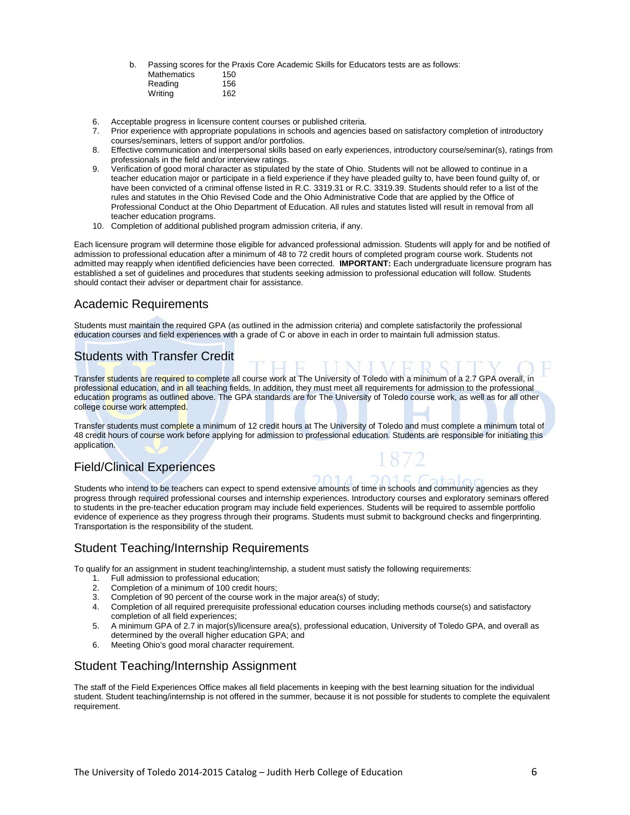b. Passing scores for the Praxis Core Academic Skills for Educators tests are as follows: Mathematics 150<br>Reading 156

| Reading | 156 |
|---------|-----|
| Writing | 162 |
|         |     |

- 6. Acceptable progress in licensure content courses or published criteria.
- 7. Prior experience with appropriate populations in schools and agencies based on satisfactory completion of introductory courses/seminars, letters of support and/or portfolios.
- 8. Effective communication and interpersonal skills based on early experiences, introductory course/seminar(s), ratings from professionals in the field and/or interview ratings.
- 9. Verification of good moral character as stipulated by the state of Ohio. Students will not be allowed to continue in a teacher education major or participate in a field experience if they have pleaded guilty to, have been found guilty of, or have been convicted of a criminal offense listed in R.C. 3319.31 or R.C. 3319.39. Students should refer to a list of the rules and statutes in the Ohio Revised Code and the Ohio Administrative Code that are applied by the Office of Professional Conduct at the Ohio Department of Education. All rules and statutes listed will result in removal from all teacher education programs.
- 10. Completion of additional published program admission criteria, if any.

Each licensure program will determine those eligible for advanced professional admission. Students will apply for and be notified of admission to professional education after a minimum of 48 to 72 credit hours of completed program course work. Students not admitted may reapply when identified deficiencies have been corrected. **IMPORTANT:** Each undergraduate licensure program has established a set of guidelines and procedures that students seeking admission to professional education will follow. Students should contact their adviser or department chair for assistance.

#### Academic Requirements

Students must maintain the required GPA (as outlined in the admission criteria) and complete satisfactorily the professional education courses and field experiences with a grade of C or above in each in order to maintain full admission status.

### Students with Transfer Credit

Transfer students are required to complete all course work at The University of Toledo with a minimum of a 2.7 GPA overall, in professional education, and in all teaching fields. In addition, they must meet all requirements for admission to the professional education programs as outlined above. The GPA standards are for The University of Toledo course work, as well as for all other college course work attempted.

Transfer students must complete a minimum of 12 credit hours at The University of Toledo and must complete a minimum total of 48 credit hours of course work before applying for admission to professional education. Students are responsible for initiating this application.

### Field/Clinical Experiences

Students who intend to be teachers can expect to spend extensive amounts of time in schools and community agencies as they progress through required professional courses and internship experiences. Introductory courses and exploratory seminars offered to students in the pre-teacher education program may include field experiences. Students will be required to assemble portfolio evidence of experience as they progress through their programs. Students must submit to background checks and fingerprinting. Transportation is the responsibility of the student.

#### Student Teaching/Internship Requirements

To qualify for an assignment in student teaching/internship, a student must satisfy the following requirements:

- 1. Full admission to professional education;
- 2. Completion of a minimum of 100 credit hours;
- 3. Completion of 90 percent of the course work in the major area(s) of study;<br>4. Completion of all required prerequisite professional education courses incl
- 4. Completion of all required prerequisite professional education courses including methods course(s) and satisfactory completion of all field experiences;
- 5. A minimum GPA of 2.7 in major(s)/licensure area(s), professional education, University of Toledo GPA, and overall as determined by the overall higher education GPA; and
- 6. Meeting Ohio's good moral character requirement.

### Student Teaching/Internship Assignment

The staff of the Field Experiences Office makes all field placements in keeping with the best learning situation for the individual student. Student teaching/internship is not offered in the summer, because it is not possible for students to complete the equivalent requirement.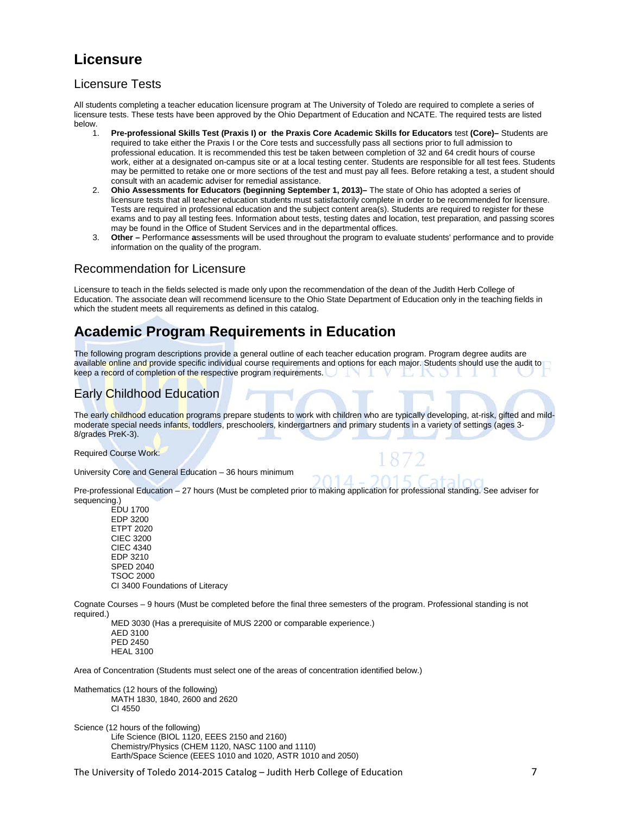## **Licensure**

#### Licensure Tests

All students completing a teacher education licensure program at The University of Toledo are required to complete a series of licensure tests. These tests have been approved by the Ohio Department of Education and NCATE. The required tests are listed below.<br>1.

- 1. **Pre-professional Skills Test (Praxis I) or the Praxis Core Academic Skills for Educators** test **(Core)–** Students are required to take either the Praxis I or the Core tests and successfully pass all sections prior to full admission to professional education. It is recommended this test be taken between completion of 32 and 64 credit hours of course work, either at a designated on-campus site or at a local testing center. Students are responsible for all test fees. Students may be permitted to retake one or more sections of the test and must pay all fees. Before retaking a test, a student should consult with an academic adviser for remedial assistance.
- 2. **Ohio Assessments for Educators (beginning September 1, 2013)–** The state of Ohio has adopted a series of licensure tests that all teacher education students must satisfactorily complete in order to be recommended for licensure. Tests are required in professional education and the subject content area(s). Students are required to register for these exams and to pay all testing fees. Information about tests, testing dates and location, test preparation, and passing scores may be found in the Office of Student Services and in the departmental offices.
- 3. **Other –** Performance **a**ssessments will be used throughout the program to evaluate students' performance and to provide information on the quality of the program.

#### Recommendation for Licensure

Licensure to teach in the fields selected is made only upon the recommendation of the dean of the Judith Herb College of Education. The associate dean will recommend licensure to the Ohio State Department of Education only in the teaching fields in which the student meets all requirements as defined in this catalog.

## **Academic Program Requirements in Education**

The following program descriptions provide a general outline of each teacher education program. Program degree audits are available online and provide specific individual course requirements and options for each major. Students should use the audit to keep a record of completion of the respective program requirements. v

### Early Childhood Education

The early childhood education programs prepare students to work with children who are typically developing, at-risk, gifted and mildmoderate special needs infants, toddlers, preschoolers, kindergartners and primary students in a variety of settings (ages 3-8/grades PreK-3).

Required Course Work:

University Core and General Education – 36 hours minimum

Pre-professional Education – 27 hours (Must be completed prior to making application for professional standing. See adviser for sequencing.)

EDU 1700 EDP 3200 ETPT 2020 CIEC 3200 CIEC 4340 EDP 3210 SPED 2040 TSOC 2000 CI 3400 Foundations of Literacy

Cognate Courses – 9 hours (Must be completed before the final three semesters of the program. Professional standing is not required.)

MED 3030 (Has a prerequisite of MUS 2200 or comparable experience.) AED 3100 PED 2450 HEAL 3100

Area of Concentration (Students must select one of the areas of concentration identified below.)

Mathematics (12 hours of the following) MATH 1830, 1840, 2600 and 2620 CI 4550

Science (12 hours of the following) Life Science (BIOL 1120, EEES 2150 and 2160) Chemistry/Physics (CHEM 1120, NASC 1100 and 1110) Earth/Space Science (EEES 1010 and 1020, ASTR 1010 and 2050)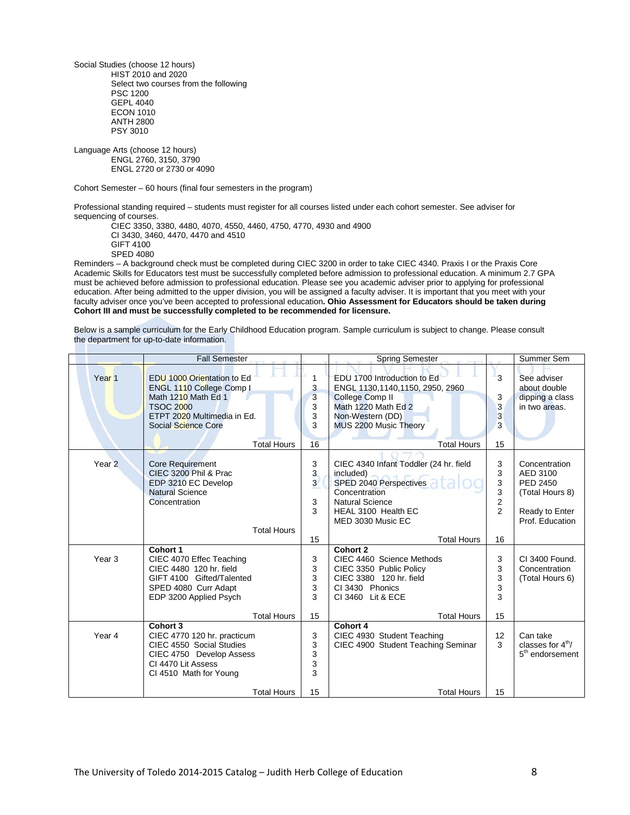Social Studies (choose 12 hours) HIST 2010 and 2020 Select two courses from the following PSC 1200 GEPL 4040 ECON 1010 ANTH 2800 PSY 3010

Language Arts (choose 12 hours) ENGL 2760, 3150, 3790 ENGL 2720 or 2730 or 4090

Cohort Semester – 60 hours (final four semesters in the program)

Professional standing required – students must register for all courses listed under each cohort semester. See adviser for sequencing of courses.

CIEC 3350, 3380, 4480, 4070, 4550, 4460, 4750, 4770, 4930 and 4900 CI 3430, 3460, 4470, 4470 and 4510 GIFT 4100 SPED 4080

Reminders – A background check must be completed during CIEC 3200 in order to take CIEC 4340. Praxis I or the Praxis Core Academic Skills for Educators test must be successfully completed before admission to professional education. A minimum 2.7 GPA must be achieved before admission to professional education. Please see you academic adviser prior to applying for professional education. After being admitted to the upper division, you will be assigned a faculty adviser. It is important that you meet with your faculty adviser once you've been accepted to professional education**. Ohio Assessment for Educators should be taken during Cohort III and must be successfully completed to be recommended for licensure.** 

Below is a sample curriculum for the Early Childhood Education program. Sample curriculum is subject to change. Please consult the department for up-to-date information.

|                   | <b>Fall Semester</b>                                                                                                                                                          |                             | <b>Spring Semester</b>                                                                                                                                                             |                                                      | Summer Sem                                                                                           |
|-------------------|-------------------------------------------------------------------------------------------------------------------------------------------------------------------------------|-----------------------------|------------------------------------------------------------------------------------------------------------------------------------------------------------------------------------|------------------------------------------------------|------------------------------------------------------------------------------------------------------|
| Year <sub>1</sub> | EDU 1000 Orientation to Ed<br>ENGL 1110 College Comp I<br>Math 1210 Math Ed 1<br><b>TSOC 2000</b><br>ETPT 2020 Multimedia in Ed.<br>Social Science Core<br><b>Total Hours</b> | 3<br>3<br>3<br>3<br>3<br>16 | EDU 1700 Introduction to Ed<br>ENGL 1130,1140,1150, 2950, 2960<br><b>College Comp II</b><br>Math 1220 Math Ed 2<br>Non-Western (DD)<br>MUS 2200 Music Theory<br><b>Total Hours</b> | 3<br>3<br>3<br>3<br>3<br>15                          | See adviser<br>about double<br>dipping a class<br>in two areas.                                      |
| Year <sub>2</sub> | <b>Core Requirement</b><br>CIEC 3200 Phil & Prac<br>EDP 3210 EC Develop<br><b>Natural Science</b><br>Concentration<br><b>Total Hours</b>                                      |                             | CIEC 4340 Infant Toddler (24 hr. field<br>included)<br>SPED 2040 Perspectives<br>Concentration<br><b>Natural Science</b><br>HEAL 3100 Health EC<br>MED 3030 Music EC               | 3<br>3<br>3<br>3<br>$\overline{c}$<br>$\overline{2}$ | Concentration<br>AED 3100<br><b>PED 2450</b><br>(Total Hours 8)<br>Ready to Enter<br>Prof. Education |
|                   |                                                                                                                                                                               | 15                          | <b>Total Hours</b>                                                                                                                                                                 | 16                                                   |                                                                                                      |
| Year <sub>3</sub> | Cohort 1<br>CIEC 4070 Effec Teaching<br>CIEC 4480 120 hr. field<br>GIFT 4100 Gifted/Talented<br>SPED 4080 Curr Adapt<br>EDP 3200 Applied Psych                                |                             | Cohort 2<br>CIEC 4460 Science Methods<br>CIEC 3350 Public Policy<br>CIEC 3380 120 hr. field<br>CI 3430 Phonics<br>CI 3460 Lit & ECE                                                | 3<br>3<br>3<br>3<br>3                                | CI 3400 Found.<br>Concentration<br>(Total Hours 6)                                                   |
|                   | <b>Total Hours</b>                                                                                                                                                            |                             | <b>Total Hours</b>                                                                                                                                                                 | 15                                                   |                                                                                                      |
| Year 4            | Cohort 3<br>CIEC 4770 120 hr. practicum<br>CIEC 4550 Social Studies<br>CIEC 4750 Develop Assess<br>CI 4470 Lit Assess<br>CI 4510 Math for Young                               |                             | Cohort 4<br>CIEC 4930 Student Teaching<br>CIEC 4900 Student Teaching Seminar                                                                                                       | 12<br>3                                              | Can take<br>classes for $4th$ /<br>5 <sup>th</sup> endorsement                                       |
|                   | <b>Total Hours</b>                                                                                                                                                            | 15                          | <b>Total Hours</b>                                                                                                                                                                 | 15                                                   |                                                                                                      |

The University of Toledo 2014-2015 Catalog – Judith Herb College of Education 8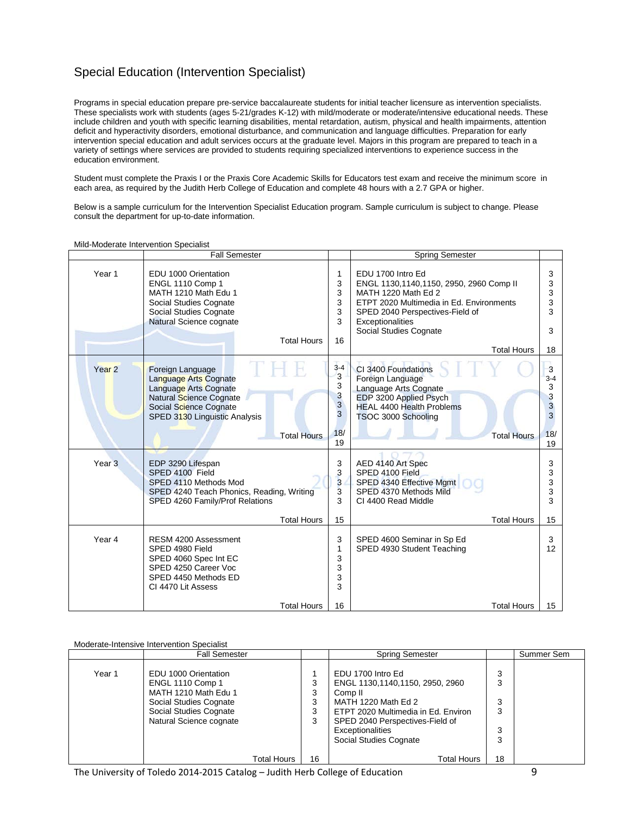## Special Education (Intervention Specialist)

Programs in special education prepare pre-service baccalaureate students for initial teacher licensure as intervention specialists. These specialists work with students (ages 5-21/grades K-12) with mild/moderate or moderate/intensive educational needs. These include children and youth with specific learning disabilities, mental retardation, autism, physical and health impairments, attention deficit and hyperactivity disorders, emotional disturbance, and communication and language difficulties. Preparation for early intervention special education and adult services occurs at the graduate level. Majors in this program are prepared to teach in a variety of settings where services are provided to students requiring specialized interventions to experience success in the education environment.

Student must complete the Praxis I or the Praxis Core Academic Skills for Educators test exam and receive the minimum score in each area, as required by the Judith Herb College of Education and complete 48 hours with a 2.7 GPA or higher.

Below is a sample curriculum for the Intervention Specialist Education program. Sample curriculum is subject to change. Please consult the department for up-to-date information.

| Year 1<br>EDU 1700 Intro Ed<br>EDU 1000 Orientation<br>1                                                                                                                                                                                                                                                                                                                                                             | 3                                                                                                                                                                           |
|----------------------------------------------------------------------------------------------------------------------------------------------------------------------------------------------------------------------------------------------------------------------------------------------------------------------------------------------------------------------------------------------------------------------|-----------------------------------------------------------------------------------------------------------------------------------------------------------------------------|
| 3<br>ENGL 1110 Comp 1<br>3<br>MATH 1210 Math Edu 1<br>MATH 1220 Math Ed 2<br>3<br>Social Studies Cognate<br>3<br>Social Studies Cognate<br>Natural Science cognate<br>3<br>Exceptionalities<br>Social Studies Cognate<br><b>Total Hours</b><br>16                                                                                                                                                                    | 3<br>ENGL 1130,1140,1150, 2950, 2960 Comp II<br>3<br>3<br>ETPT 2020 Multimedia in Ed. Environments<br>3<br>SPED 2040 Perspectives-Field of<br>3<br><b>Total Hours</b><br>18 |
| $3 - 4$<br>Year <sub>2</sub><br>CI 3400 Foundations<br>Foreign Language<br>3<br><b>Language Arts Cognate</b><br>Foreign Language<br>3<br>Language Arts Cognate<br>Language Arts Cognate<br>3<br>EDP 3200 Applied Psych<br>Natural Science Cognate<br>3<br><b>HEAL 4400 Health Problems</b><br>Social Science Cognate<br>3<br>SPED 3130 Linguistic Analysis<br>TSOC 3000 Schooling<br>18/<br><b>Total Hours</b><br>19 | 3<br>$3 - 4$<br>3<br>$\frac{3}{3}$<br>3<br>18/<br><b>Total Hours</b><br>19                                                                                                  |
| Year <sub>3</sub><br>3<br>AED 4140 Art Spec<br>EDP 3290 Lifespan<br>3<br>SPED 4100 Field<br>SPED 4100 Field<br>$\overline{3}$<br>SPED 4340 Effective Mgmt<br>SPED 4110 Methods Mod<br>3<br>SPED 4370 Methods Mild<br>SPED 4240 Teach Phonics, Reading, Writing<br>3<br>SPED 4260 Family/Prof Relations<br>CI 4400 Read Middle<br><b>Total Hours</b><br>15                                                            | 3<br>3<br>3<br>3<br>3<br><b>Total Hours</b><br>15                                                                                                                           |
| Year 4<br>3<br><b>RESM 4200 Assessment</b><br>SPED 4600 Seminar in Sp Ed<br>SPED 4980 Field<br>1<br>SPED 4930 Student Teaching<br>3<br>SPED 4060 Spec Int EC<br>3<br>SPED 4250 Career Voc<br>3<br>SPED 4450 Methods ED<br>3<br>CI 4470 Lit Assess<br><b>Total Hours</b><br>16                                                                                                                                        | 3<br>12<br><b>Total Hours</b><br>15                                                                                                                                         |

Mild-Moderate Intervention Specialist

Moderate-Intensive Intervention Specialist

|        | <b>Fall Semester</b>                                                                                                                                                  |                             | <b>Spring Semester</b>                                                                                                                                                                                                                   |                                  | Summer Sem |
|--------|-----------------------------------------------------------------------------------------------------------------------------------------------------------------------|-----------------------------|------------------------------------------------------------------------------------------------------------------------------------------------------------------------------------------------------------------------------------------|----------------------------------|------------|
| Year 1 | EDU 1000 Orientation<br><b>ENGL 1110 Comp 1</b><br>MATH 1210 Math Edu 1<br>Social Studies Cognate<br>Social Studies Cognate<br>Natural Science cognate<br>Total Hours | 3<br>3<br>3<br>3<br>3<br>16 | EDU 1700 Intro Ed<br>ENGL 1130,1140,1150, 2950, 2960<br>Comp <sub>II</sub><br>MATH 1220 Math Ed 2<br>ETPT 2020 Multimedia in Ed. Environ<br>SPED 2040 Perspectives-Field of<br>Exceptionalities<br>Social Studies Cognate<br>Total Hours | 3<br>3<br>3<br>3<br>3<br>3<br>18 |            |

The University of Toledo 2014-2015 Catalog – Judith Herb College of Education 9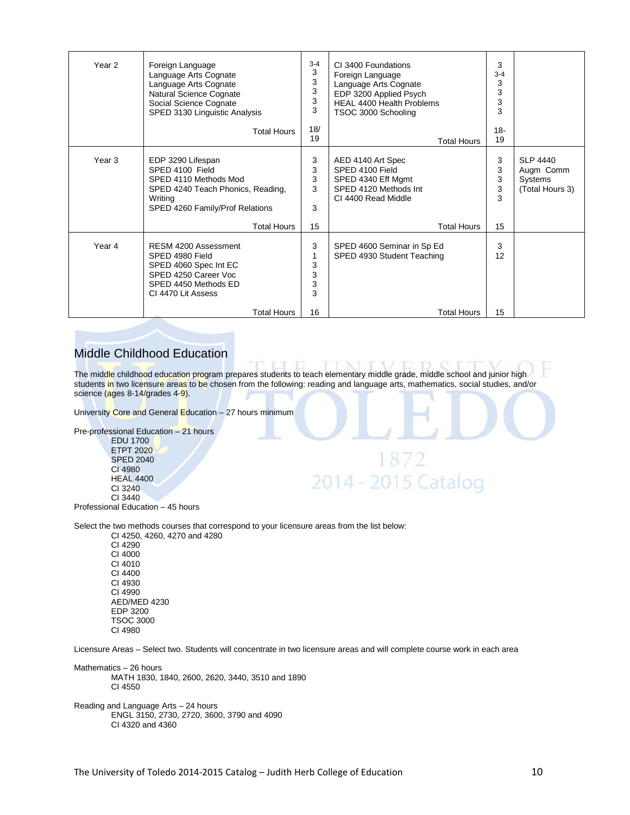| Year <sub>2</sub> | Foreign Language<br>Language Arts Cognate<br>Language Arts Cognate<br>Natural Science Cognate<br>Social Science Cognate<br>SPED 3130 Linguistic Analysis               |                             | CI 3400 Foundations<br>Foreign Language<br>Language Arts Cognate<br>EDP 3200 Applied Psych<br><b>HEAL 4400 Health Problems</b><br>TSOC 3000 Schooling | 3<br>$3 - 4$<br>3<br>3<br>3<br>3 |                                                            |
|-------------------|------------------------------------------------------------------------------------------------------------------------------------------------------------------------|-----------------------------|-------------------------------------------------------------------------------------------------------------------------------------------------------|----------------------------------|------------------------------------------------------------|
|                   | <b>Total Hours</b>                                                                                                                                                     | 18/<br>19                   | <b>Total Hours</b>                                                                                                                                    | $18 -$<br>19                     |                                                            |
| Year 3            | EDP 3290 Lifespan<br>SPED 4100 Field<br>SPED 4110 Methods Mod<br>SPED 4240 Teach Phonics, Reading,<br>Writing<br>SPED 4260 Family/Prof Relations<br><b>Total Hours</b> | 3<br>3<br>3<br>3<br>3<br>15 | AED 4140 Art Spec<br>SPED 4100 Field<br>SPED 4340 Eff Mgmt<br>SPED 4120 Methods Int<br>CI 4400 Read Middle<br><b>Total Hours</b>                      | 3<br>3<br>3<br>3<br>3<br>15      | <b>SLP 4440</b><br>Augm Comm<br>Systems<br>(Total Hours 3) |
| Year 4            | RESM 4200 Assessment<br>SPED 4980 Field<br>SPED 4060 Spec Int EC<br>SPED 4250 Career Voc<br>SPED 4450 Methods ED<br>CI 4470 Lit Assess                                 | 3<br>3<br>3<br>3<br>3       | SPED 4600 Seminar in Sp Ed<br>SPED 4930 Student Teaching                                                                                              | 3<br>12                          |                                                            |
|                   | Total Hours                                                                                                                                                            | 16                          | <b>Total Hours</b>                                                                                                                                    | 15                               |                                                            |

### Middle Childhood Education

The middle childhood education program prepares students to teach elementary middle grade, middle school and junior high students in two licensure areas to be chosen from the following: reading and language arts, mathematics, social studies, and/or science (ages 8-14/grades 4-9).

1872

2014 - 2015 Catalog

University Core and General Education – 27 hours minimum

Pre-professional Education – 21 hours

EDU 1700 ETPT 2020 SPED 2040 CI 4980 HEAL 4400 CI 3240 CI 3440 Professional Education – 45 hours

Select the two methods courses that correspond to your licensure areas from the list below:

CI 4250, 4260, 4270 and 4280 CI 4290 CI 4000 CI 4010 CI 4400 CI 4930 CI 4990 AED/MED 4230 EDP 3200 TSOC 3000 CI 4980

Licensure Areas – Select two. Students will concentrate in two licensure areas and will complete course work in each area

Mathematics – 26 hours MATH 1830, 1840, 2600, 2620, 3440, 3510 and 1890 CI 4550

Reading and Language Arts – 24 hours ENGL 3150, 2730, 2720, 3600, 3790 and 4090 CI 4320 and 4360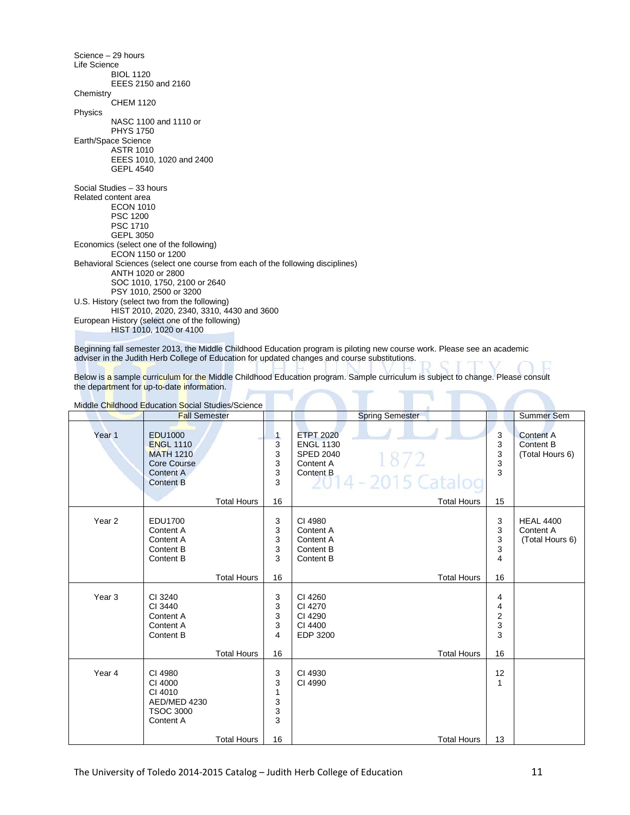Science – 29 hours Life Science BIOL 1120 EEES 2150 and 2160 **Chemistry** CHEM 1120 Physics NASC 1100 and 1110 or PHYS 1750 Earth/Space Science ASTR 1010 EEES 1010, 1020 and 2400 GEPL 4540 Social Studies – 33 hours Related content area ECON 1010 PSC 1200 PSC 1710 GEPL 3050 Economics (select one of the following) ECON 1150 or 1200 Behavioral Sciences (select one course from each of the following disciplines) ANTH 1020 or 2800 SOC 1010, 1750, 2100 or 2640 PSY 1010, 2500 or 3200 U.S. History (select two from the following) HIST 2010, 2020, 2340, 3310, 4430 and 3600 European History (select one of the following) HIST 1010, 1020 or 4100

Beginning fall semester 2013, the Middle Childhood Education program is piloting new course work. Please see an academic adviser in the Judith Herb College of Education for updated changes and course substitutions.

Below is a sample curriculum for the Middle Childhood Education program. Sample curriculum is subject to change. Please consult the department for up-to-date information.

|                   | Middle Childhood Education Social Studies/Science                                                      |                    |                                             |                                                                                                                                                |                                                   |                                                  |
|-------------------|--------------------------------------------------------------------------------------------------------|--------------------|---------------------------------------------|------------------------------------------------------------------------------------------------------------------------------------------------|---------------------------------------------------|--------------------------------------------------|
|                   | <b>Fall Semester</b>                                                                                   |                    |                                             | <b>Spring Semester</b>                                                                                                                         |                                                   | Summer Sem                                       |
| Year <sub>1</sub> | <b>EDU1000</b><br><b>ENGL 1110</b><br><b>MATH 1210</b><br>Core Course<br>Content A<br><b>Content B</b> | <b>Total Hours</b> | $\mathbf{1}$<br>3<br>3<br>3<br>3<br>3<br>16 | <b>ETPT 2020</b><br><b>ENGL 1130</b><br><b>SPED 2040</b><br>1872<br>Content A<br>Content B<br><b>2014 - 2015 Catalog</b><br><b>Total Hours</b> | 3<br>3<br>3<br>3<br>3<br>15                       | <b>Content A</b><br>Content B<br>(Total Hours 6) |
|                   |                                                                                                        |                    |                                             |                                                                                                                                                |                                                   |                                                  |
| Year <sub>2</sub> | EDU1700<br>Content A<br>Content A<br>Content B<br>Content B                                            |                    | 3<br>3<br>3<br>3<br>3                       | CI 4980<br>Content A<br>Content A<br>Content B<br>Content B                                                                                    | 3<br>3<br>3<br>3<br>4                             | <b>HEAL 4400</b><br>Content A<br>(Total Hours 6) |
|                   |                                                                                                        | <b>Total Hours</b> | 16                                          | <b>Total Hours</b>                                                                                                                             | 16                                                |                                                  |
| Year <sub>3</sub> | CI 3240<br>CI 3440<br>Content A<br>Content A<br>Content B                                              | <b>Total Hours</b> | 3<br>3<br>3<br>3<br>4<br>16                 | CI 4260<br>CI 4270<br>CI 4290<br>CI 4400<br>EDP 3200<br><b>Total Hours</b>                                                                     | 4<br>4<br>$\overline{\mathbf{c}}$<br>3<br>3<br>16 |                                                  |
| Year 4            | CI 4980<br>CI 4000<br>CI 4010<br>AED/MED 4230<br><b>TSOC 3000</b><br>Content A                         | <b>Total Hours</b> | 3<br>$\mathbf{3}$<br>1<br>3<br>3<br>3<br>16 | CI 4930<br>CI 4990<br><b>Total Hours</b>                                                                                                       | 12<br>1<br>13                                     |                                                  |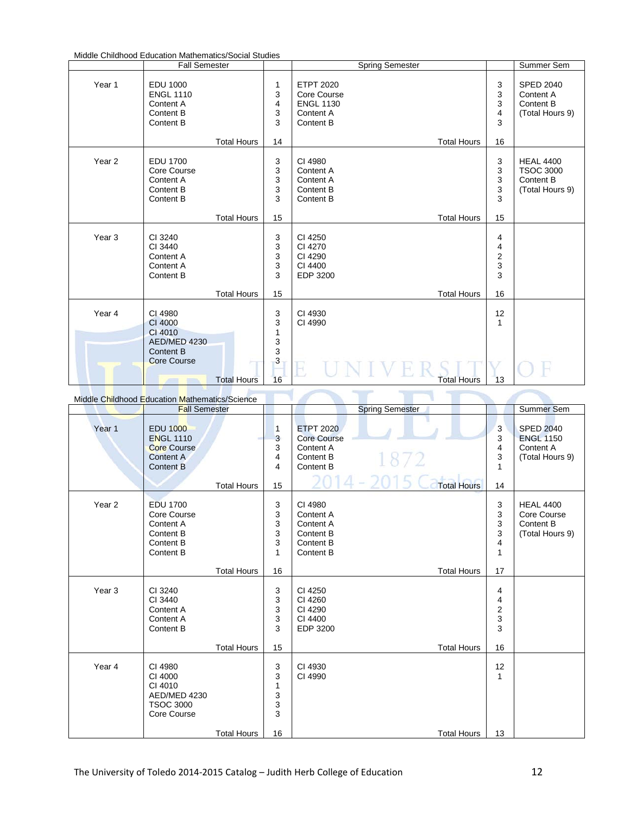|                   | <b>Fall Semester</b>                                                     |                    |                                         | <b>Spring Semester</b>                                                        |                                               | Summer Sem                                                           |
|-------------------|--------------------------------------------------------------------------|--------------------|-----------------------------------------|-------------------------------------------------------------------------------|-----------------------------------------------|----------------------------------------------------------------------|
| Year 1            | EDU 1000<br><b>ENGL 1110</b><br>Content A<br>Content B<br>Content B      |                    | 1<br>3<br>4<br>3<br>3                   | <b>ETPT 2020</b><br>Core Course<br><b>ENGL 1130</b><br>Content A<br>Content B | 3<br>3<br>$\ensuremath{\mathsf{3}}$<br>4<br>3 | <b>SPED 2040</b><br>Content A<br>Content B<br>(Total Hours 9)        |
|                   |                                                                          | <b>Total Hours</b> | 14                                      | <b>Total Hours</b>                                                            | 16                                            |                                                                      |
| Year <sub>2</sub> | <b>EDU 1700</b><br>Core Course<br>Content A<br>Content B<br>Content B    |                    | 3<br>3<br>3<br>3<br>3                   | CI 4980<br>Content A<br>Content A<br>Content B<br>Content B                   | 3<br>3<br>3<br>$\frac{3}{3}$                  | <b>HEAL 4400</b><br><b>TSOC 3000</b><br>Content B<br>(Total Hours 9) |
|                   |                                                                          | <b>Total Hours</b> | 15                                      | <b>Total Hours</b>                                                            | 15                                            |                                                                      |
| Year <sub>3</sub> | CI 3240<br>CI 3440<br>Content A<br>Content A<br>Content B                |                    | 3<br>3<br>3<br>3<br>3                   | CI 4250<br>CI 4270<br>CI 4290<br>CI 4400<br>EDP 3200                          | 4<br>4<br>$\frac{2}{3}$<br>3                  |                                                                      |
|                   |                                                                          | <b>Total Hours</b> | 15                                      | <b>Total Hours</b>                                                            | 16                                            |                                                                      |
| Year 4            | CI 4980<br>CI 4000<br>CI 4010<br><b>AED/MED 4230</b><br><b>Content B</b> |                    | 3<br>3<br>$\mathbf{1}$<br>$\frac{3}{3}$ | CI 4930<br>CI 4990                                                            | 12<br>$\mathbf{1}$                            |                                                                      |
|                   | <b>Core Course</b>                                                       | <b>Total Hours</b> | 3<br>16                                 | <b>Total Hours</b>                                                            | 13                                            |                                                                      |

| Middle Childhood Education Mathematics/Science |                                                                                                   |                    |                                                                |                                                                                                             |                                                     |                                                                      |
|------------------------------------------------|---------------------------------------------------------------------------------------------------|--------------------|----------------------------------------------------------------|-------------------------------------------------------------------------------------------------------------|-----------------------------------------------------|----------------------------------------------------------------------|
|                                                | <b>Fall Semester</b>                                                                              |                    |                                                                | <b>Spring Semester</b>                                                                                      |                                                     | Summer Sem                                                           |
| Year 1                                         | <b>EDU 1000</b><br><b>ENGL 1110</b><br><b>Core Course</b><br><b>Content A</b><br><b>Content B</b> | <b>Total Hours</b> | 1<br>3<br>3<br>4<br>4<br>15                                    | <b>ETPT 2020</b><br><b>Core Course</b><br>Content A<br>1872<br>Content B<br>Content B<br><b>Total Hours</b> | $\overline{3}$<br>3<br>4<br>3<br>$\mathbf{1}$<br>14 | <b>SPED 2040</b><br><b>ENGL 1150</b><br>Content A<br>(Total Hours 9) |
| Year <sub>2</sub>                              | <b>EDU 1700</b><br>Core Course<br>Content A<br>Content B<br>Content B<br>Content B                | <b>Total Hours</b> | 3<br>3<br>3<br>$\mathsf 3$<br>$\sqrt{3}$<br>$\mathbf{1}$<br>16 | CI 4980<br>Content A<br>Content A<br>Content B<br>Content B<br>Content B<br><b>Total Hours</b>              | 3<br>3<br>3<br>$\mathsf 3$<br>4<br>1<br>17          | <b>HEAL 4400</b><br>Core Course<br>Content B<br>(Total Hours 9)      |
| Year <sub>3</sub>                              | CI 3240<br>CI 3440<br>Content A<br>Content A<br>Content B                                         | <b>Total Hours</b> | 3<br>3<br>3<br>3<br>3<br>15                                    | CI 4250<br>CI 4260<br>CI 4290<br>CI 4400<br>EDP 3200<br><b>Total Hours</b>                                  | 4<br>4<br>2<br>3<br>3<br>16                         |                                                                      |
| Year 4                                         | CI 4980<br>CI 4000<br>CI 4010<br>AED/MED 4230<br><b>TSOC 3000</b><br>Core Course                  | <b>Total Hours</b> | 3<br>3<br>$\mathbf{1}$<br>3<br>3<br>3<br>16                    | CI 4930<br>CI 4990<br><b>Total Hours</b>                                                                    | 12<br>1<br>13                                       |                                                                      |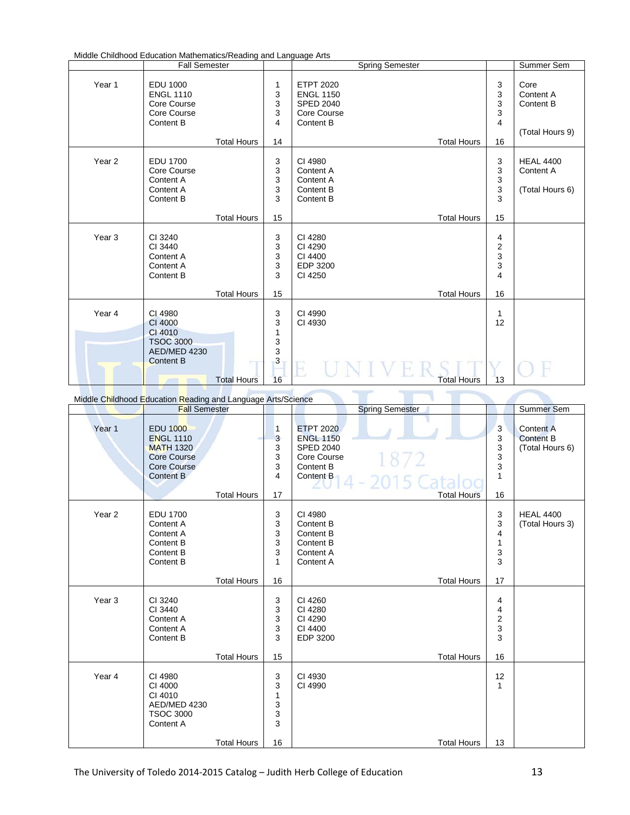| Middle Childhood Education Mathematics/Reading and Language Arts |  |
|------------------------------------------------------------------|--|
|------------------------------------------------------------------|--|

|                   | <b>Fall Semester</b>                                                           |                    |                                                                  | <b>Spring Semester</b>                                                                                     |                                                                   | Summer Sem                                        |
|-------------------|--------------------------------------------------------------------------------|--------------------|------------------------------------------------------------------|------------------------------------------------------------------------------------------------------------|-------------------------------------------------------------------|---------------------------------------------------|
| Year 1            | <b>EDU 1000</b><br><b>ENGL 1110</b><br>Core Course<br>Core Course<br>Content B | <b>Total Hours</b> | 1<br>3<br>$\ensuremath{\mathsf{3}}$<br>3<br>$\overline{4}$<br>14 | <b>ETPT 2020</b><br><b>ENGL 1150</b><br><b>SPED 2040</b><br>Core Course<br>Content B<br><b>Total Hours</b> | 3<br>3<br>$\frac{3}{3}$<br>$\overline{4}$<br>16                   | Core<br>Content A<br>Content B<br>(Total Hours 9) |
| Year <sub>2</sub> | <b>EDU 1700</b><br>Core Course<br>Content A<br>Content A<br>Content B          |                    | 3<br>3<br>3<br>$\mathsf 3$<br>3                                  | CI 4980<br>Content A<br>Content A<br>Content B<br>Content B                                                | 3<br>$\frac{3}{3}$<br>3<br>3                                      | <b>HEAL 4400</b><br>Content A<br>(Total Hours 6)  |
|                   |                                                                                | <b>Total Hours</b> | 15                                                               | <b>Total Hours</b>                                                                                         | 15                                                                |                                                   |
| Year <sub>3</sub> | CI 3240<br>CI 3440<br>Content A<br>Content A<br>Content B                      |                    | 3<br>3<br>$\mathsf 3$<br>$\mathsf 3$<br>3                        | CI 4280<br>CI 4290<br>CI 4400<br>EDP 3200<br>CI 4250                                                       | 4<br>$\begin{array}{c} 2 \\ 3 \\ 3 \end{array}$<br>$\overline{4}$ |                                                   |
|                   |                                                                                | <b>Total Hours</b> | 15                                                               | <b>Total Hours</b>                                                                                         | 16                                                                |                                                   |
| Year 4            | CI 4980<br>CI 4000<br>CI 4010<br><b>TSOC 3000</b><br><b>AED/MED 4230</b>       |                    | 3<br>3<br>1<br>3<br>3                                            | CI 4990<br>CI 4930                                                                                         | 1<br>12                                                           |                                                   |
|                   | <b>Content B</b>                                                               | <b>Total Hours</b> | 3<br>16                                                          | <b>Total Hours</b>                                                                                         | 13                                                                |                                                   |

Middle Childhood Education Reading and Language Arts/Science

|                   | <u>Miladie Chilianood Education Reading and Early age Arts/Science</u><br><b>Fall Semester</b>                          |                                          |                                  | <b>Spring Semester</b>                                                                                                                           |                                                          | <b>Summer Sem</b>                                       |
|-------------------|-------------------------------------------------------------------------------------------------------------------------|------------------------------------------|----------------------------------|--------------------------------------------------------------------------------------------------------------------------------------------------|----------------------------------------------------------|---------------------------------------------------------|
| Year 1            | <b>EDU 1000</b><br><b>ENGL 1110</b><br><b>MATH 1320</b><br><b>Core Course</b><br><b>Core Course</b><br><b>Content B</b> | <b>Total Hours</b>                       | 1<br>3<br>3<br>3<br>3<br>4<br>17 | <b>ETPT 2020</b><br><b>ENGL 1150</b><br><b>SPED 2040</b><br>1872<br>Core Course<br>Content B<br>Content B<br>4 - 2015 Cata<br><b>Total Hours</b> | 3<br>3<br>$\ensuremath{\mathsf{3}}$<br>3<br>3<br>1<br>16 | <b>Content A</b><br><b>Content B</b><br>(Total Hours 6) |
| Year <sub>2</sub> | <b>EDU 1700</b><br>Content A<br>Content A<br>Content B<br>Content B<br>Content B                                        |                                          | 3<br>3<br>3<br>3<br>3<br>1<br>16 | CI 4980<br>Content B<br>Content B<br>Content B<br>Content A<br>Content A                                                                         | 3<br>3<br>4<br>1<br>3<br>3<br>17                         | <b>HEAL 4400</b><br>(Total Hours 3)                     |
| Year <sub>3</sub> | CI 3240<br>CI 3440<br>Content A<br>Content A<br>Content B                                                               | <b>Total Hours</b><br><b>Total Hours</b> | 3<br>3<br>3<br>3<br>3<br>15      | <b>Total Hours</b><br>CI 4260<br>CI 4280<br>CI 4290<br>CI 4400<br>EDP 3200<br><b>Total Hours</b>                                                 | 4<br>4<br>$\frac{2}{3}$<br>3<br>16                       |                                                         |
| Year 4            | CI 4980<br>CI 4000<br>CI 4010<br>AED/MED 4230<br><b>TSOC 3000</b><br>Content A                                          | <b>Total Hours</b>                       | 3<br>3<br>1<br>3<br>3<br>3<br>16 | CI 4930<br>CI 4990<br><b>Total Hours</b>                                                                                                         | 12<br>1<br>13                                            |                                                         |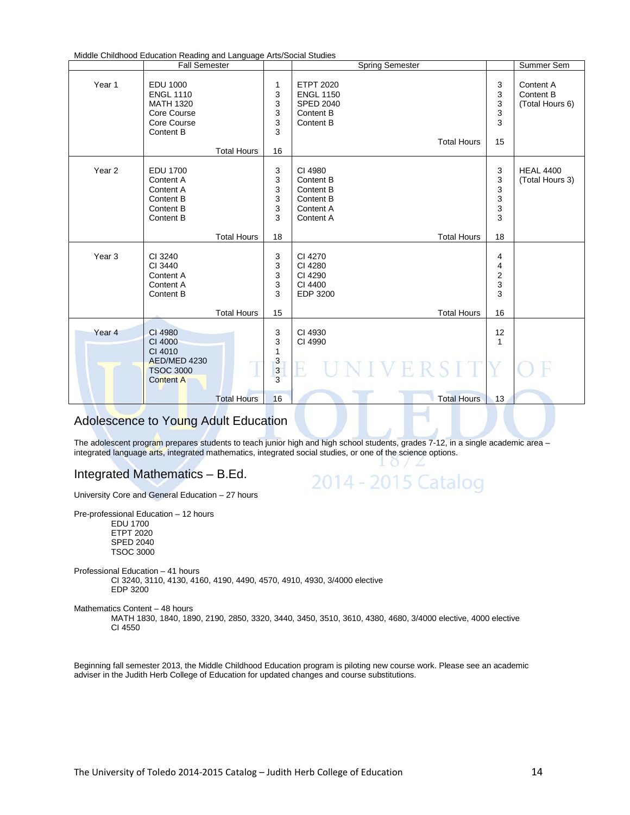Middle Childhood Education Reading and Language Arts/Social Studies

|                   | <b>Fall Semester</b>                                                                        |                    |                                            | <b>Spring Semester</b>                                                             |                    |                                                            | Summer Sem                                |
|-------------------|---------------------------------------------------------------------------------------------|--------------------|--------------------------------------------|------------------------------------------------------------------------------------|--------------------|------------------------------------------------------------|-------------------------------------------|
| Year 1            | EDU 1000<br><b>ENGL 1110</b><br><b>MATH 1320</b><br>Core Course<br>Core Course<br>Content B | <b>Total Hours</b> | 1<br>3<br>3<br>3<br>3<br>3<br>16           | <b>ETPT 2020</b><br><b>ENGL 1150</b><br><b>SPED 2040</b><br>Content B<br>Content B | <b>Total Hours</b> | 3<br>3<br>3<br>3<br>3<br>15                                | Content A<br>Content B<br>(Total Hours 6) |
| Year <sub>2</sub> | <b>EDU 1700</b><br>Content A<br>Content A<br>Content B<br>Content B<br>Content B            | <b>Total Hours</b> | 3<br>$\mathsf 3$<br>3<br>3<br>3<br>3<br>18 | CI 4980<br>Content B<br>Content B<br>Content B<br>Content A<br>Content A           | <b>Total Hours</b> | 3<br>3<br>$\begin{array}{c} 3 \\ 3 \\ 3 \end{array}$<br>18 | <b>HEAL 4400</b><br>(Total Hours 3)       |
| Year <sub>3</sub> | CI 3240<br>CI 3440<br>Content A<br>Content A<br>Content B                                   | <b>Total Hours</b> | 3<br>3<br>3<br>3<br>3<br>15                | CI 4270<br>CI 4280<br>CI 4290<br>CI 4400<br>EDP 3200                               | <b>Total Hours</b> | 4<br>4<br>$\boldsymbol{2}$<br>3<br>3<br>16                 |                                           |
| Year <sub>4</sub> | CI 4980<br>CI 4000<br>CI 4010<br>AED/MED 4230<br><b>TSOC 3000</b><br><b>Content A</b>       | <b>Total Hours</b> | 3<br>3<br>1<br>3<br>$\frac{3}{3}$<br>16    | CI 4930<br>CI 4990<br>E<br>VERSIT                                                  | <b>Total Hours</b> | 12<br>$\mathbf{1}$<br>13                                   |                                           |

## Adolescence to Young Adult Education

The adolescent program prepares students to teach junior high and high school students, grades 7-12, in a single academic area integrated language arts, integrated mathematics, integrated social studies, or one of the science options.

> $\Omega$ 2014 - 2015 Catalog

#### Integrated Mathematics – B.Ed.

University Core and General Education – 27 hours

Pre-professional Education – 12 hours EDU 1700

ETPT 2020 SPED 2040 TSOC 3000

Professional Education – 41 hours CI 3240, 3110, 4130, 4160, 4190, 4490, 4570, 4910, 4930, 3/4000 elective EDP 3200

Mathematics Content – 48 hours

MATH 1830, 1840, 1890, 2190, 2850, 3320, 3440, 3450, 3510, 3610, 4380, 4680, 3/4000 elective, 4000 elective CI 4550

Beginning fall semester 2013, the Middle Childhood Education program is piloting new course work. Please see an academic adviser in the Judith Herb College of Education for updated changes and course substitutions.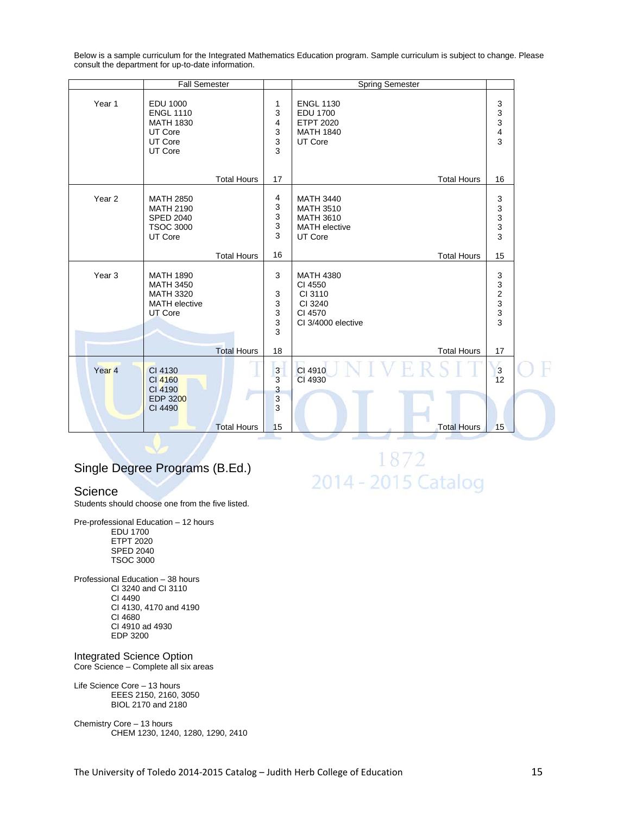Below is a sample curriculum for the Integrated Mathematics Education program. Sample curriculum is subject to change. Please consult the department for up-to-date information.

|                   | <b>Fall Semester</b>                                                                        |                            | Spring Semester                                                                             |                                                        |  |
|-------------------|---------------------------------------------------------------------------------------------|----------------------------|---------------------------------------------------------------------------------------------|--------------------------------------------------------|--|
| Year 1            | <b>EDU 1000</b><br><b>ENGL 1110</b><br><b>MATH 1830</b><br>UT Core<br>UT Core<br>UT Core    | 1<br>3<br>4<br>3<br>3<br>3 | <b>ENGL 1130</b><br><b>EDU 1700</b><br><b>ETPT 2020</b><br><b>MATH 1840</b><br>UT Core      | 3<br>3<br>3<br>4<br>3                                  |  |
|                   | <b>Total Hours</b>                                                                          | 17                         | <b>Total Hours</b>                                                                          | 16                                                     |  |
| Year <sub>2</sub> | <b>MATH 2850</b><br><b>MATH 2190</b><br><b>SPED 2040</b><br><b>TSOC 3000</b><br>UT Core     | 4<br>3<br>3<br>3<br>3      | <b>MATH 3440</b><br><b>MATH 3510</b><br><b>MATH 3610</b><br><b>MATH</b> elective<br>UT Core | 3<br>$\begin{array}{c} 3 \\ 3 \\ 3 \end{array}$        |  |
|                   | <b>Total Hours</b>                                                                          | 16                         | <b>Total Hours</b>                                                                          | 15                                                     |  |
| Year <sub>3</sub> | <b>MATH 1890</b><br><b>MATH 3450</b><br><b>MATH 3320</b><br><b>MATH</b> elective<br>UT Core | 3<br>3<br>3<br>3<br>3<br>3 | <b>MATH 4380</b><br>CI 4550<br>CI 3110<br>CI 3240<br>CI 4570<br>CI 3/4000 elective          | 3<br>$\begin{array}{c}\n3 \\ 2 \\ 3 \\ 3\n\end{array}$ |  |
|                   | <b>Total Hours</b>                                                                          | 18                         | <b>Total Hours</b>                                                                          | 17                                                     |  |
| Year <sub>4</sub> | CI 4130<br>CI 4160<br>CI 4190<br><b>EDP 3200</b><br>CI 4490                                 | 3<br>3<br>3<br>3<br>3      | CI 4910<br>CI 4930                                                                          | 3<br>12                                                |  |
|                   | <b>Total Hours</b>                                                                          | 15                         | <b>Total Hours</b>                                                                          | 15                                                     |  |

### Single Degree Programs (B.Ed.)

#### **Science**

Students should choose one from the five listed.

Pre-professional Education – 12 hours EDU 1700 ETPT 2020 SPED 2040 TSOC 3000

Professional Education – 38 hours CI 3240 and CI 3110 CI 4490 CI 4130, 4170 and 4190 CI 4680 CI 4910 ad 4930 EDP 3200

Integrated Science Option Core Science – Complete all six areas

Life Science Core – 13 hours EEES 2150, 2160, 3050 BIOL 2170 and 2180

Chemistry Core – 13 hours CHEM 1230, 1240, 1280, 1290, 2410

1872 2014 - 2015 Catalog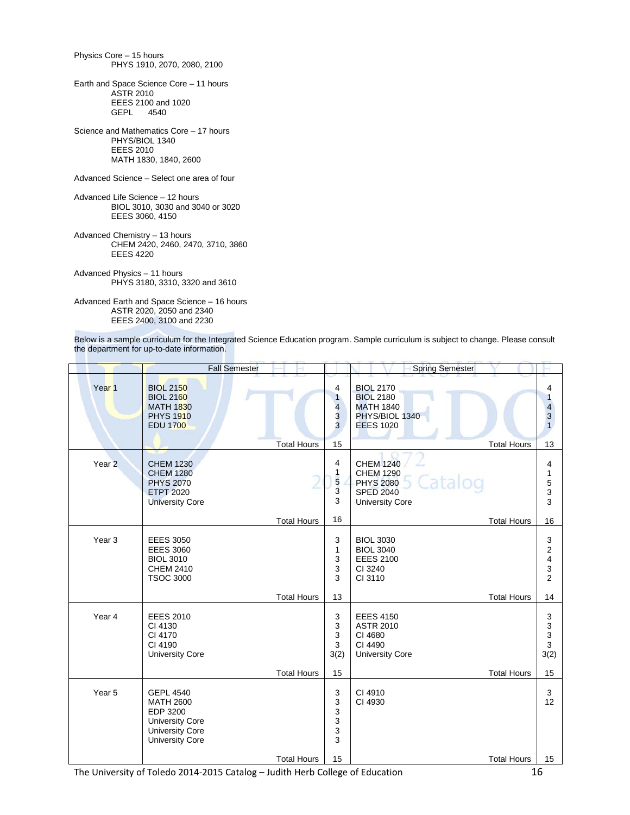Physics Core – 15 hours PHYS 1910, 2070, 2080, 2100

Earth and Space Science Core – 11 hours ASTR 2010 EEES 2100 and 1020 GEPL 4540

Science and Mathematics Core – 17 hours PHYS/BIOL 1340 EEES 2010 MATH 1830, 1840, 2600

Advanced Science – Select one area of four

Advanced Life Science – 12 hours BIOL 3010, 3030 and 3040 or 3020 EEES 3060, 4150

Advanced Chemistry – 13 hours CHEM 2420, 2460, 2470, 3710, 3860 EEES 4220

Advanced Physics – 11 hours PHYS 3180, 3310, 3320 and 3610

Advanced Earth and Space Science – 16 hours ASTR 2020, 2050 and 2340 EEES 2400, 3100 and 2230

Below is a sample curriculum for the Integrated Science Education program. Sample curriculum is subject to change. Please consult the department for up-to-date information.

|                   | <b>Fall Semester</b>                                                                                                           |                    |                                                                       | <b>Spring Semester</b>                                                                                            |                                                       |
|-------------------|--------------------------------------------------------------------------------------------------------------------------------|--------------------|-----------------------------------------------------------------------|-------------------------------------------------------------------------------------------------------------------|-------------------------------------------------------|
| Year <sub>1</sub> | <b>BIOL 2150</b><br><b>BIOL 2160</b><br><b>MATH 1830</b><br><b>PHYS 1910</b><br><b>EDU 1700</b>                                |                    | 4<br>$\mathbf{1}$<br>$\overline{\mathbf{4}}$<br>3<br>3                | <b>BIOL 2170</b><br><b>BIOL 2180</b><br><b>MATH 1840</b><br>PHYS/BIOL 1340<br><b>EEES 1020</b>                    | 4<br>1<br>$\overline{\mathbf{4}}$<br>$\mathsf 3$<br>1 |
|                   |                                                                                                                                | <b>Total Hours</b> | 15                                                                    | <b>Total Hours</b>                                                                                                | 13                                                    |
| Year <sub>2</sub> | <b>CHEM 1230</b><br><b>CHEM 1280</b><br><b>PHYS 2070</b><br><b>ETPT 2020</b><br><b>University Core</b>                         |                    | $\overline{4}$<br>1<br>$\overline{\mathbf{5}}$<br>$\overline{3}$<br>3 | <b>CHEM 1240</b><br><b>CHEM 1290</b><br>Catalog<br><b>PHYS 2080</b><br><b>SPED 2040</b><br><b>University Core</b> | 4<br>1<br>5<br>3<br>3                                 |
|                   |                                                                                                                                | <b>Total Hours</b> | 16                                                                    | <b>Total Hours</b>                                                                                                | 16                                                    |
| Year <sub>3</sub> | <b>EEES 3050</b><br><b>EEES 3060</b><br><b>BIOL 3010</b><br><b>CHEM 2410</b><br><b>TSOC 3000</b>                               |                    | 3<br>$\mathbf{1}$<br>3<br>3<br>3                                      | <b>BIOL 3030</b><br><b>BIOL 3040</b><br><b>EEES 2100</b><br>CI 3240<br>CI 3110                                    | 3<br>2<br>4<br>3<br>$\overline{2}$                    |
|                   |                                                                                                                                | <b>Total Hours</b> | 13                                                                    | <b>Total Hours</b>                                                                                                | 14                                                    |
| Year 4            | <b>EEES 2010</b><br>CI 4130<br>CI 4170<br>CI 4190<br><b>University Core</b>                                                    |                    | 3<br>3<br>3<br>3<br>3(2)                                              | <b>EEES 4150</b><br><b>ASTR 2010</b><br>CI 4680<br>CI 4490<br><b>University Core</b>                              | 3<br>3<br>3<br>3<br>3(2)                              |
|                   |                                                                                                                                | <b>Total Hours</b> | 15                                                                    | <b>Total Hours</b>                                                                                                | 15                                                    |
| Year <sub>5</sub> | <b>GEPL 4540</b><br><b>MATH 2600</b><br>EDP 3200<br><b>University Core</b><br><b>University Core</b><br><b>University Core</b> |                    | 3<br>3<br>3<br>3<br>3<br>3                                            | CI 4910<br>CI 4930                                                                                                | 3<br>12                                               |
|                   |                                                                                                                                | <b>Total Hours</b> | 15                                                                    | <b>Total Hours</b>                                                                                                | 15                                                    |

The University of Toledo 2014-2015 Catalog – Judith Herb College of Education 16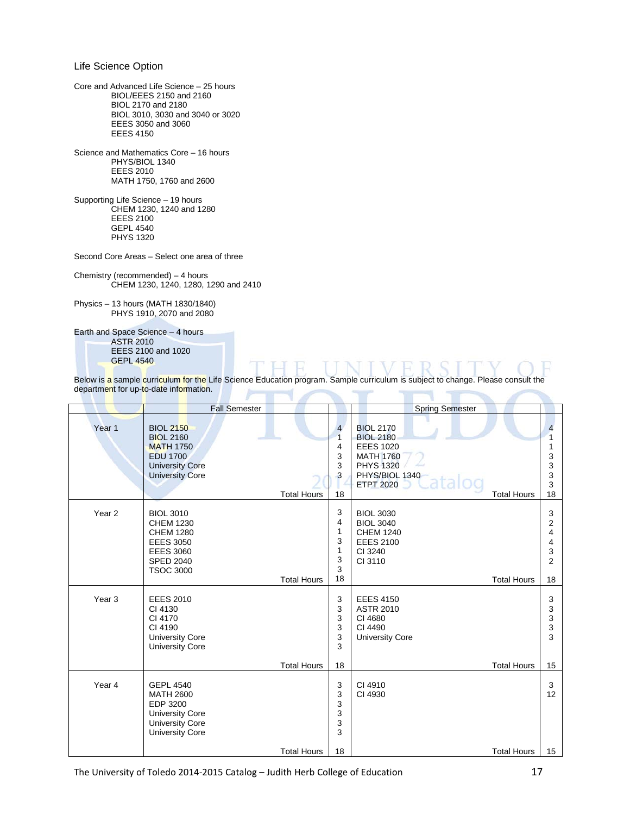Life Science Option

Core and Advanced Life Science – 25 hours BIOL/EEES 2150 and 2160 BIOL 2170 and 2180 BIOL 3010, 3030 and 3040 or 3020 EEES 3050 and 3060 EEES 4150

Science and Mathematics Core – 16 hours PHYS/BIOL 1340 EEES 2010 MATH 1750, 1760 and 2600

Supporting Life Science – 19 hours CHEM 1230, 1240 and 1280 EEES 2100 GEPL 4540 PHYS 1320

Second Core Areas – Select one area of three

Chemistry (recommended) – 4 hours CHEM 1230, 1240, 1280, 1290 and 2410

Physics – 13 hours (MATH 1830/1840) PHYS 1910, 2070 and 2080

Earth and Space Science – 4 hours ASTR 2010 EEES 2100 and 1020 GEPL 4540

|                   | <b>Fall Semester</b>                                                                                                                     |                    |                                                            | <b>Spring Semester</b>                                                                                                                                       |                                               |
|-------------------|------------------------------------------------------------------------------------------------------------------------------------------|--------------------|------------------------------------------------------------|--------------------------------------------------------------------------------------------------------------------------------------------------------------|-----------------------------------------------|
| Year <sub>1</sub> | <b>BIOL 2150</b><br><b>BIOL 2160</b><br><b>MATH 1750</b><br><b>EDU 1700</b><br><b>University Core</b><br><b>University Core</b>          | <b>Total Hours</b> | $\overline{4}$<br>$\overline{1}$<br>4<br>3<br>3<br>3<br>18 | <b>BIOL 2170</b><br><b>BIOL 2180</b><br><b>EEES 1020</b><br><b>MATH 1760</b><br><b>PHYS 1320</b><br>PHYS/BIOL 1340<br><b>ETPT 2020</b><br><b>Total Hours</b> | 4<br>3<br>3<br>3<br>3<br>18                   |
| Year <sub>2</sub> | <b>BIOL 3010</b><br><b>CHEM 1230</b><br><b>CHEM 1280</b><br><b>EEES 3050</b><br><b>EEES 3060</b><br><b>SPED 2040</b><br><b>TSOC 3000</b> | <b>Total Hours</b> | 3<br>4<br>1<br>3<br>1<br>3<br>3<br>18                      | <b>BIOL 3030</b><br><b>BIOL 3040</b><br><b>CHEM 1240</b><br><b>EEES 2100</b><br>CI 3240<br>CI 3110<br><b>Total Hours</b>                                     | 3<br>2<br>4<br>4<br>3<br>$\overline{2}$<br>18 |
| Year <sub>3</sub> | <b>EEES 2010</b><br>CI 4130<br>CI 4170<br>CI 4190<br><b>University Core</b><br><b>University Core</b>                                    | <b>Total Hours</b> | 3<br>3<br>3<br>3<br>3<br>3<br>18                           | <b>EEES 4150</b><br><b>ASTR 2010</b><br>CI 4680<br>CI 4490<br><b>University Core</b><br><b>Total Hours</b>                                                   | 3<br>3<br>3<br>3<br>3<br>15                   |
| Year 4            | <b>GEPL 4540</b><br><b>MATH 2600</b><br>EDP 3200<br><b>University Core</b><br><b>University Core</b><br><b>University Core</b>           | <b>Total Hours</b> | 3<br>3<br>3<br>3<br>3<br>3<br>18                           | CI 4910<br>CI 4930<br><b>Total Hours</b>                                                                                                                     | 3<br>12<br>15                                 |

Below is a sample curriculum for the Life Science Education program. Sample curriculum is subject to change. Please consult the department for up-to-date information.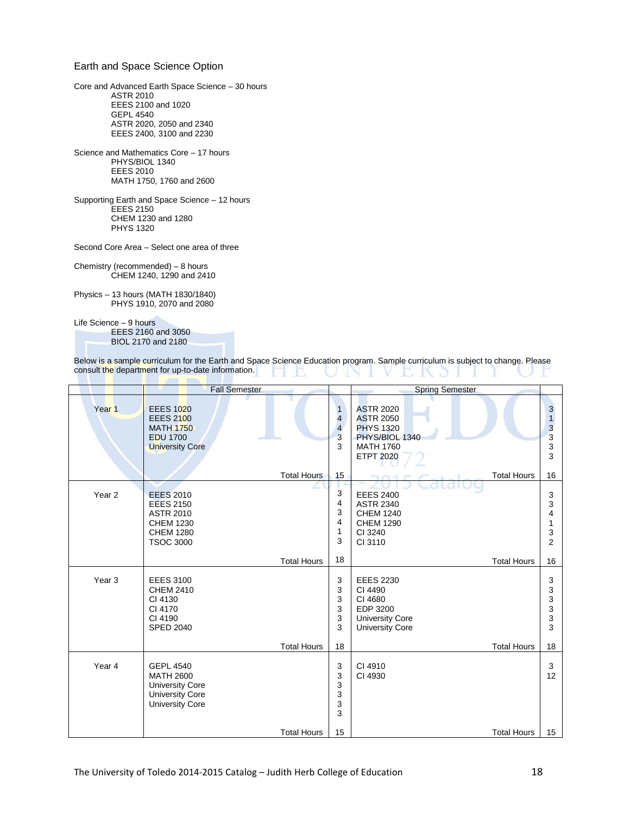#### Earth and Space Science Option

Core and Advanced Earth Space Science – 30 hours ASTR 2010 EEES 2100 and 1020 GEPL 4540 ASTR 2020, 2050 and 2340 EEES 2400, 3100 and 2230

Science and Mathematics Core – 17 hours PHYS/BIOL 1340 EEES 2010 MATH 1750, 1760 and 2600

Supporting Earth and Space Science – 12 hours EEES 2150 CHEM 1230 and 1280 PHYS 1320

Second Core Area – Select one area of three

Chemistry (recommended) – 8 hours CHEM 1240, 1290 and 2410

Physics – 13 hours (MATH 1830/1840) PHYS 1910, 2070 and 2080

Life Science – 9 hours

EEES 2160 and 3050 BIOL 2170 and 2180

| Below is a sample curriculum for the Earth and Space Science Education program. Sample curriculum is subject to change. Please |  |  |
|--------------------------------------------------------------------------------------------------------------------------------|--|--|
| consult the department for up-to-date information.                                                                             |  |  |

|                   | <b>Fall Semester</b>                                                                                                 |                                                            | <b>Spring Semester</b>                                                                                             |                                                               |
|-------------------|----------------------------------------------------------------------------------------------------------------------|------------------------------------------------------------|--------------------------------------------------------------------------------------------------------------------|---------------------------------------------------------------|
| Year <sub>1</sub> | <b>EEES 1020</b><br><b>EEES 2100</b><br><b>MATH 1750</b><br><b>EDU 1700</b><br><b>University Core</b>                | $\mathbf{1}$<br>$\overline{4}$<br>$\overline{4}$<br>3<br>3 | <b>ASTR 2020</b><br><b>ASTR 2050</b><br><b>PHYS 1320</b><br>PHYS/BIOL 1340<br><b>MATH 1760</b><br><b>ETPT 2020</b> | $\ensuremath{\mathsf{3}}$<br>$\mathbf{1}$<br>3<br>3<br>3<br>3 |
|                   | <b>Total Hours</b>                                                                                                   | 15                                                         | <b>Total Hours</b>                                                                                                 | 16                                                            |
| Year <sub>2</sub> | <b>EEES 2010</b><br><b>EEES 2150</b><br><b>ASTR 2010</b><br><b>CHEM 1230</b><br><b>CHEM 1280</b><br><b>TSOC 3000</b> | 3<br>4<br>3<br>4<br>1<br>3                                 | <b>EEES 2400</b><br><b>ASTR 2340</b><br><b>CHEM 1240</b><br><b>CHEM 1290</b><br>CI 3240<br>CI 3110                 | 3<br>3<br>4<br>1<br>3<br>$\overline{2}$                       |
|                   | <b>Total Hours</b>                                                                                                   | 18                                                         | <b>Total Hours</b>                                                                                                 | 16                                                            |
| Year <sub>3</sub> | <b>EEES 3100</b><br><b>CHEM 2410</b><br>CI 4130<br>CI 4170<br>CI 4190<br><b>SPED 2040</b>                            | 3<br>3<br>3<br>3<br>3<br>3                                 | <b>EEES 2230</b><br>CI 4490<br>CI 4680<br>EDP 3200<br><b>University Core</b><br><b>University Core</b>             | 3<br>3<br>3<br>$\frac{3}{3}$<br>3                             |
|                   | <b>Total Hours</b>                                                                                                   | 18                                                         | <b>Total Hours</b>                                                                                                 | 18                                                            |
| Year 4            | <b>GEPL 4540</b><br><b>MATH 2600</b><br><b>University Core</b><br><b>University Core</b><br><b>University Core</b>   | 3<br>3<br>3<br>3<br>3<br>3                                 | CI 4910<br>CI 4930                                                                                                 | 3<br>12                                                       |
|                   | <b>Total Hours</b>                                                                                                   | 15                                                         | <b>Total Hours</b>                                                                                                 | 15                                                            |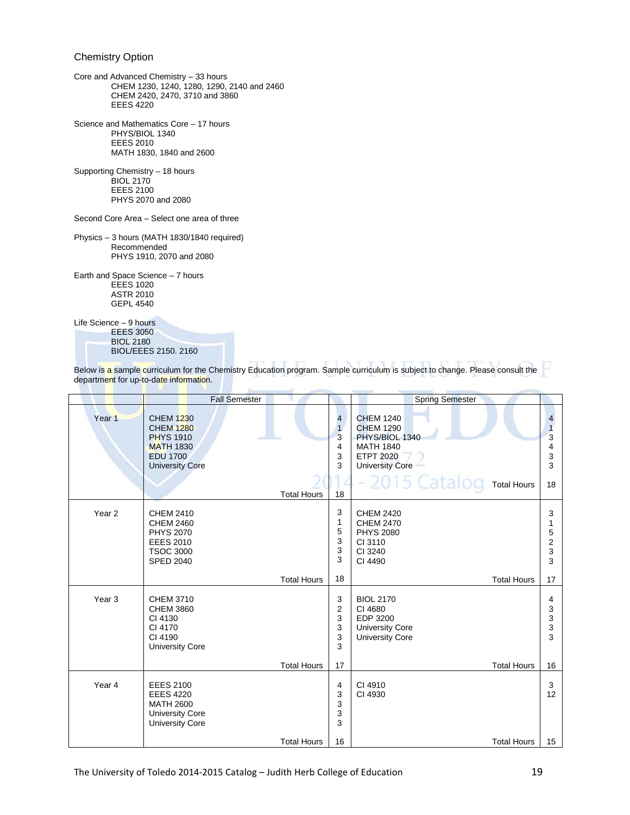#### Chemistry Option

- Core and Advanced Chemistry 33 hours CHEM 1230, 1240, 1280, 1290, 2140 and 2460 CHEM 2420, 2470, 3710 and 3860 EEES 4220
- Science and Mathematics Core 17 hours PHYS/BIOL 1340 EEES 2010 MATH 1830, 1840 and 2600

Supporting Chemistry – 18 hours BIOL 2170 EEES 2100 PHYS 2070 and 2080

Second Core Area – Select one area of three

Physics – 3 hours (MATH 1830/1840 required) Recommended PHYS 1910, 2070 and 2080

Earth and Space Science – 7 hours EEES 1020 ASTR 2010 GEPL 4540

Life Science – 9 hours

EEES 3050 BIOL 2180 BIOL/EEES 2150. 2160

|                   | <b>Fall Semester</b>                                                                                                      |                    |                                                                     | <b>Spring Semester</b>                                                                                                                                          |                                    |
|-------------------|---------------------------------------------------------------------------------------------------------------------------|--------------------|---------------------------------------------------------------------|-----------------------------------------------------------------------------------------------------------------------------------------------------------------|------------------------------------|
| Year 1            | <b>CHEM 1230</b><br><b>CHEM 1280</b><br><b>PHYS 1910</b><br><b>MATH 1830</b><br><b>EDU 1700</b><br><b>University Core</b> | <b>Total Hours</b> | $\overline{\mathbf{4}}$<br>$\overline{1}$<br>3<br>4<br>3<br>3<br>18 | <b>CHEM 1240</b><br><b>CHEM 1290</b><br>PHYS/BIOL 1340<br><b>MATH 1840</b><br><b>ETPT 2020</b><br><b>University Core</b><br>-2015 Catalog<br><b>Total Hours</b> | 4<br>3<br>4<br>3<br>3<br>18        |
| Year <sub>2</sub> | <b>CHEM 2410</b><br><b>CHEM 2460</b><br><b>PHYS 2070</b><br><b>EEES 2010</b><br><b>TSOC 3000</b><br><b>SPED 2040</b>      |                    | 3<br>1<br>5<br>3<br>3<br>3                                          | <b>CHEM 2420</b><br><b>CHEM 2470</b><br><b>PHYS 2080</b><br>CI 3110<br>CI 3240<br>CI 4490                                                                       | 3<br>5<br>$\overline{2}$<br>3<br>3 |
|                   |                                                                                                                           | <b>Total Hours</b> | 18                                                                  | <b>Total Hours</b>                                                                                                                                              | 17                                 |
| Year <sub>3</sub> | <b>CHEM 3710</b><br><b>CHEM 3860</b><br>CI 4130<br>CI 4170<br>CI 4190<br><b>University Core</b>                           |                    | 3<br>2<br>3<br>3<br>3<br>3                                          | <b>BIOL 2170</b><br>CI 4680<br>EDP 3200<br><b>University Core</b><br><b>University Core</b>                                                                     | 4<br>3<br>3<br>3<br>3              |
|                   |                                                                                                                           | <b>Total Hours</b> | 17                                                                  | <b>Total Hours</b>                                                                                                                                              | 16                                 |
| Year 4            | <b>EEES 2100</b><br><b>EEES 4220</b><br><b>MATH 2600</b><br><b>University Core</b><br><b>University Core</b>              |                    | 4<br>3<br>3<br>3<br>3                                               | CI 4910<br>CI 4930                                                                                                                                              | 3<br>12                            |
|                   |                                                                                                                           | <b>Total Hours</b> | 16                                                                  | <b>Total Hours</b>                                                                                                                                              | 15                                 |

Below is a sample curriculum for the Chemistry Education program. Sample curriculum is subject to change. Please consult the department for up-to-date information.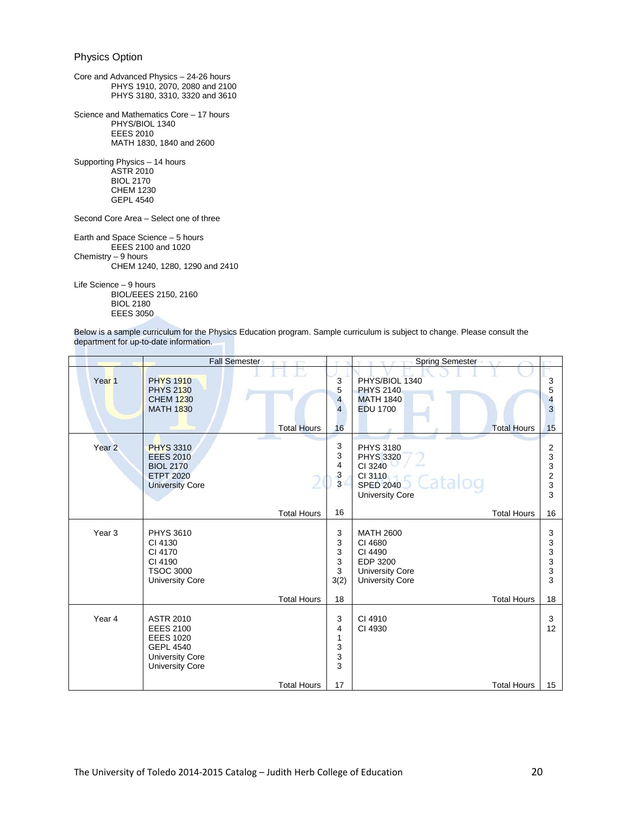#### Physics Option

Core and Advanced Physics – 24-26 hours PHYS 1910, 2070, 2080 and 2100 PHYS 3180, 3310, 3320 and 3610 Science and Mathematics Core – 17 hours PHYS/BIOL 1340 EEES 2010 MATH 1830, 1840 and 2600 Supporting Physics – 14 hours ASTR 2010 BIOL 2170 CHEM 1230 GEPL 4540 Second Core Area – Select one of three

Earth and Space Science – 5 hours EEES 2100 and 1020 Chemistry – 9 hours CHEM 1240, 1280, 1290 and 2410

Life Science – 9 hours BIOL/EEES 2150, 2160 BIOL 2180 EEES 3050

Below is a sample curriculum for the Physics Education program. Sample curriculum is subject to change. Please consult the department for up-to-date information.

|                   | <b>Fall Semester</b>                                                                                                             | <b>TOY</b>         |                               | Spring Semester                                                                                                     |                                                  |
|-------------------|----------------------------------------------------------------------------------------------------------------------------------|--------------------|-------------------------------|---------------------------------------------------------------------------------------------------------------------|--------------------------------------------------|
| Year <sub>1</sub> | <b>PHYS 1910</b><br><b>PHYS 2130</b><br><b>CHEM 1230</b><br><b>MATH 1830</b>                                                     | <b>Total Hours</b> | 3<br>5<br>4<br>4<br>16        | PHYS/BIOL 1340<br><b>PHYS 2140</b><br><b>MATH 1840</b><br><b>EDU 1700</b><br><b>Total Hours</b>                     | 3<br>5<br>4<br>3<br>15                           |
| Year <sub>2</sub> | <b>PHYS 3310</b><br><b>EEES 2010</b><br><b>BIOL 2170</b><br><b>ETPT 2020</b><br><b>University Core</b>                           |                    | 3<br>3<br>4<br>3<br>3         | <b>PHYS 3180</b><br><b>PHYS 3320</b><br>CI 3240<br>CI 3110<br>Catalog<br><b>SPED 2040</b><br><b>University Core</b> | 2<br>3<br>3<br>$\overline{\mathbf{c}}$<br>3<br>3 |
|                   |                                                                                                                                  | <b>Total Hours</b> | 16                            | <b>Total Hours</b>                                                                                                  | 16                                               |
| Year <sub>3</sub> | <b>PHYS 3610</b><br>CI 4130<br>CI 4170<br>CI 4190<br><b>TSOC 3000</b><br><b>University Core</b>                                  |                    | 3<br>3<br>3<br>3<br>3<br>3(2) | <b>MATH 2600</b><br>CI 4680<br>CI 4490<br>EDP 3200<br><b>University Core</b><br><b>University Core</b>              | 3<br>3<br>3<br>3<br>3<br>3                       |
|                   |                                                                                                                                  | <b>Total Hours</b> | 18                            | <b>Total Hours</b>                                                                                                  | 18                                               |
| Year 4            | <b>ASTR 2010</b><br><b>EEES 2100</b><br><b>EEES 1020</b><br><b>GEPL 4540</b><br><b>University Core</b><br><b>University Core</b> |                    | 3<br>4<br>1<br>3<br>3<br>3    | CI 4910<br>CI 4930                                                                                                  | 3<br>12                                          |
|                   |                                                                                                                                  | <b>Total Hours</b> | 17                            | <b>Total Hours</b>                                                                                                  | 15                                               |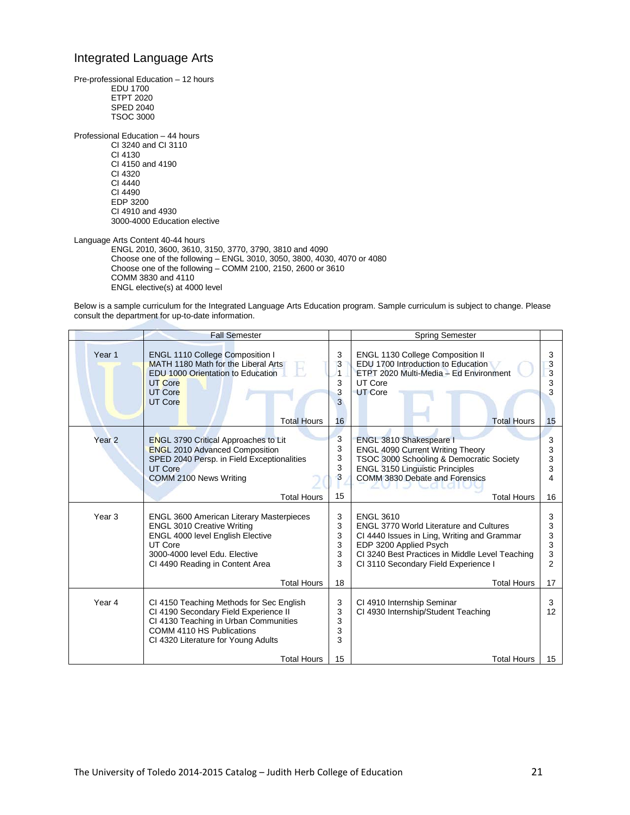#### Integrated Language Arts

Pre-professional Education – 12 hours EDU 1700 ETPT 2020 SPED 2040 TSOC 3000 Professional Education – 44 hours CI 3240 and CI 3110 CI 4130 CI 4150 and 4190 CI 4320 CI 4440 CI 4490 EDP 3200 CI 4910 and 4930 3000-4000 Education elective

Language Arts Content 40-44 hours ENGL 2010, 3600, 3610, 3150, 3770, 3790, 3810 and 4090 Choose one of the following – ENGL 3010, 3050, 3800, 4030, 4070 or 4080 Choose one of the following – COMM 2100, 2150, 2600 or 3610 COMM 3830 and 4110 ENGL elective(s) at 4000 level

Below is a sample curriculum for the Integrated Language Arts Education program. Sample curriculum is subject to change. Please consult the department for up-to-date information.

|                   | <b>Fall Semester</b>                                                                                                                                                                                           |                            | <b>Spring Semester</b>                                                                                                                                                                                                                 |                            |
|-------------------|----------------------------------------------------------------------------------------------------------------------------------------------------------------------------------------------------------------|----------------------------|----------------------------------------------------------------------------------------------------------------------------------------------------------------------------------------------------------------------------------------|----------------------------|
| Year <sub>1</sub> | ENGL 1110 College Composition I<br>MATH 1180 Math for the Liberal Arts<br><b>EDU 1000 Orientation to Education</b><br><b>UT Core</b><br><b>UT Core</b><br><b>UT Core</b>                                       | 3<br>3<br>1<br>3<br>3<br>3 | ENGL 1130 College Composition II<br>EDU 1700 Introduction to Education<br>ETPT 2020 Multi-Media - Ed Environment<br>UT Core<br><b>UT Core</b>                                                                                          | 3<br>3<br>3<br>3           |
|                   | <b>Total Hours</b>                                                                                                                                                                                             | 16                         | <b>Total Hours</b>                                                                                                                                                                                                                     | 15                         |
| Year <sub>2</sub> | <b>ENGL 3790 Critical Approaches to Lit</b><br><b>ENGL 2010 Advanced Composition</b><br>SPED 2040 Persp. in Field Exceptionalities<br><b>UT Core</b><br>COMM 2100 News Writing                                 | 3<br>3<br>3<br>3<br>3      | ENGL 3810 Shakespeare I<br><b>ENGL 4090 Current Writing Theory</b><br>TSOC 3000 Schooling & Democratic Society<br><b>ENGL 3150 Linguistic Principles</b><br>COMM 3830 Debate and Forensics                                             | 3<br>3<br>3<br>3<br>4      |
|                   | <b>Total Hours</b>                                                                                                                                                                                             | 15                         | <b>Total Hours</b>                                                                                                                                                                                                                     | 16                         |
| Year <sub>3</sub> | <b>ENGL 3600 American Literary Masterpieces</b><br><b>ENGL 3010 Creative Writing</b><br><b>ENGL 4000 level English Elective</b><br>UT Core<br>3000-4000 level Edu. Elective<br>CI 4490 Reading in Content Area | 3<br>3<br>3<br>3<br>3<br>3 | <b>ENGL 3610</b><br><b>ENGL 3770 World Literature and Cultures</b><br>CI 4440 Issues in Ling, Writing and Grammar<br>EDP 3200 Applied Psych<br>CI 3240 Best Practices in Middle Level Teaching<br>CI 3110 Secondary Field Experience I | 3<br>3<br>3<br>3<br>3<br>2 |
|                   | <b>Total Hours</b>                                                                                                                                                                                             | 18                         | <b>Total Hours</b>                                                                                                                                                                                                                     | 17                         |
| Year 4            | CI 4150 Teaching Methods for Sec English<br>CI 4190 Secondary Field Experience II<br>CI 4130 Teaching in Urban Communities<br>COMM 4110 HS Publications<br>CI 4320 Literature for Young Adults                 | 3<br>3<br>3<br>3<br>3      | CI 4910 Internship Seminar<br>CI 4930 Internship/Student Teaching                                                                                                                                                                      | 3<br>12                    |
|                   | <b>Total Hours</b>                                                                                                                                                                                             | 15                         | <b>Total Hours</b>                                                                                                                                                                                                                     | 15                         |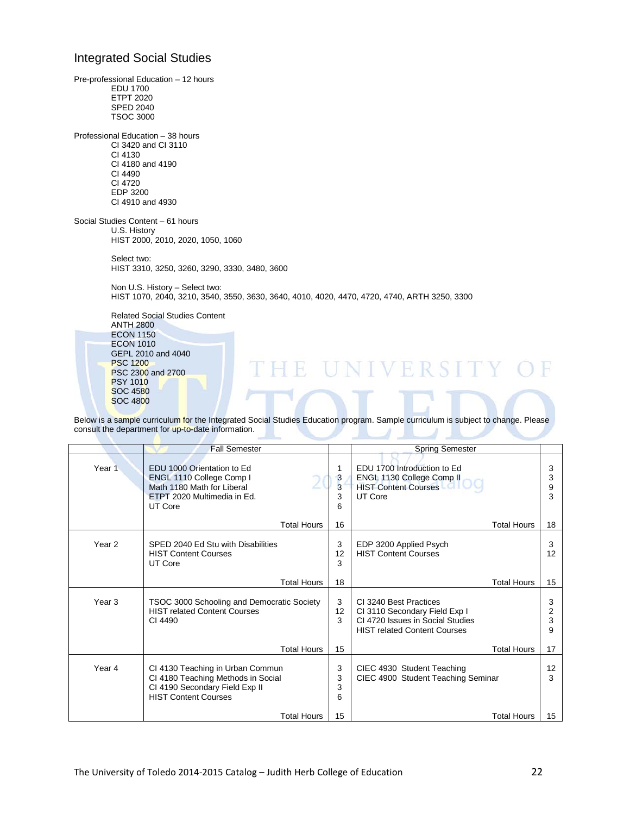#### Integrated Social Studies

PSC 2300 and 2700

PSY 1010 SOC 4580 SOC 4800

Pre-professional Education – 12 hours EDU 1700 ETPT 2020 SPED 2040 TSOC 3000 Professional Education – 38 hours CI 3420 and CI 3110 CI 4130 CI 4180 and 4190 CI 4490 CI 4720 EDP 3200 CI 4910 and 4930 Social Studies Content – 61 hours U.S. History HIST 2000, 2010, 2020, 1050, 1060 Select two: HIST 3310, 3250, 3260, 3290, 3330, 3480, 3600 Non U.S. History – Select two: HIST 1070, 2040, 3210, 3540, 3550, 3630, 3640, 4010, 4020, 4470, 4720, 4740, ARTH 3250, 3300 Related Social Studies Content ANTH 2800 ECON 1150 ECON 1010 GEPL 2010 and 4040 PSC 1200 **IINIVERSITY** Ħ

Below is a sample curriculum for the Integrated Social Studies Education program. Sample curriculum is subject to change. Please consult the department for up-to-date information.

|                   | <b>Fall Semester</b>                                                                                                                    |                       | <b>Spring Semester</b>                                                                                                             |                  |
|-------------------|-----------------------------------------------------------------------------------------------------------------------------------------|-----------------------|------------------------------------------------------------------------------------------------------------------------------------|------------------|
| Year 1            | EDU 1000 Orientation to Ed<br>ENGL 1110 College Comp I<br>Math 1180 Math for Liberal<br>ETPT 2020 Multimedia in Ed.<br>UT Core          | 1<br>3<br>3<br>3<br>6 | EDU 1700 Introduction to Ed<br>ENGL 1130 College Comp II<br><b>HIST Content Courses</b><br>UT Core                                 | 3<br>3<br>9<br>3 |
|                   | <b>Total Hours</b>                                                                                                                      | 16                    | Total Hours                                                                                                                        | 18               |
| Year <sub>2</sub> | SPED 2040 Ed Stu with Disabilities<br><b>HIST Content Courses</b><br>UT Core                                                            | 3<br>12<br>3          | EDP 3200 Applied Psych<br><b>HIST Content Courses</b>                                                                              | 3<br>12          |
|                   | <b>Total Hours</b>                                                                                                                      | 18                    | Total Hours                                                                                                                        | 15               |
| Year 3            | TSOC 3000 Schooling and Democratic Society<br><b>HIST related Content Courses</b><br>CI 4490                                            | 3<br>12<br>3          | CI 3240 Best Practices<br>CI 3110 Secondary Field Exp I<br>CI 4720 Issues in Social Studies<br><b>HIST related Content Courses</b> | 3<br>2<br>3<br>9 |
|                   | <b>Total Hours</b>                                                                                                                      | 15                    | <b>Total Hours</b>                                                                                                                 | 17               |
| Year 4            | CI 4130 Teaching in Urban Commun<br>CI 4180 Teaching Methods in Social<br>CI 4190 Secondary Field Exp II<br><b>HIST Content Courses</b> | 3<br>3<br>3<br>6      | CIEC 4930 Student Teaching<br>CIEC 4900 Student Teaching Seminar                                                                   | 12<br>3          |
|                   | <b>Total Hours</b>                                                                                                                      | 15                    | Total Hours                                                                                                                        | 15               |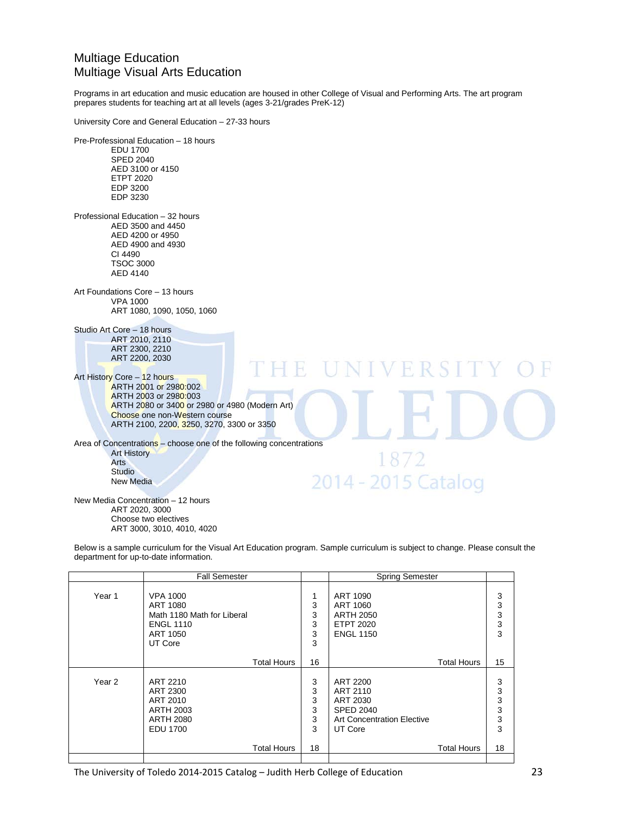### Multiage Education Multiage Visual Arts Education

Programs in art education and music education are housed in other College of Visual and Performing Arts. The art program prepares students for teaching art at all levels (ages 3-21/grades PreK-12)

University Core and General Education – 27-33 hours

ART 3000, 3010, 4010, 4020

Pre-Professional Education – 18 hours EDU 1700 SPED 2040 AED 3100 or 4150 ETPT 2020 EDP 3200 EDP 3230 Professional Education – 32 hours AED 3500 and 4450 AED 4200 or 4950 AED 4900 and 4930 CI 4490 TSOC 3000 AED 4140 Art Foundations Core – 13 hours VPA 1000 ART 1080, 1090, 1050, 1060 Studio Art Core – 18 hours ART 2010, 2110 ART 2300, 2210 ART 2200, 2030 E UNIVERSI Art History Core - 12 hours ARTH 2001 or 2980:002 ARTH 2003 or 2980:003 ARTH 2080 or 3400 or 2980 or 4980 (Modern Art) Choose one non-Western course ARTH 2100, 2200, 3250, 3270, 3300 or 3350 Area of Concentrations – choose one of the following concentrations Art History 1872 Arts **Studio** 2014 - 2015 Catalog New Media New Media Concentration – 12 hours ART 2020, 3000 Choose two electives

Below is a sample curriculum for the Visual Art Education program. Sample curriculum is subject to change. Please consult the department for up-to-date information.

|        | <b>Fall Semester</b>                                                                                 |                            | <b>Spring Semester</b>                                                                               |                                                      |
|--------|------------------------------------------------------------------------------------------------------|----------------------------|------------------------------------------------------------------------------------------------------|------------------------------------------------------|
| Year 1 | <b>VPA 1000</b><br>ART 1080<br>Math 1180 Math for Liberal<br><b>ENGL 1110</b><br>ART 1050<br>UT Core | 1<br>3<br>3<br>3<br>3<br>3 | ART 1090<br>ART 1060<br><b>ARTH 2050</b><br><b>ETPT 2020</b><br><b>ENGL 1150</b>                     | 3<br>$\ensuremath{\mathsf{3}}$<br>3<br>$\frac{3}{3}$ |
|        | <b>Total Hours</b>                                                                                   | 16                         | <b>Total Hours</b>                                                                                   | 15                                                   |
| Year 2 | ART 2210<br>ART 2300<br>ART 2010<br><b>ARTH 2003</b><br><b>ARTH 2080</b><br><b>EDU 1700</b>          | 3<br>3<br>3<br>3<br>3<br>3 | ART 2200<br>ART 2110<br>ART 2030<br><b>SPED 2040</b><br><b>Art Concentration Elective</b><br>UT Core | 3<br>$\frac{3}{3}$<br>$\mathbf{3}$<br>$\frac{3}{3}$  |
|        | <b>Total Hours</b>                                                                                   | 18                         | <b>Total Hours</b>                                                                                   | 18                                                   |
|        |                                                                                                      |                            |                                                                                                      |                                                      |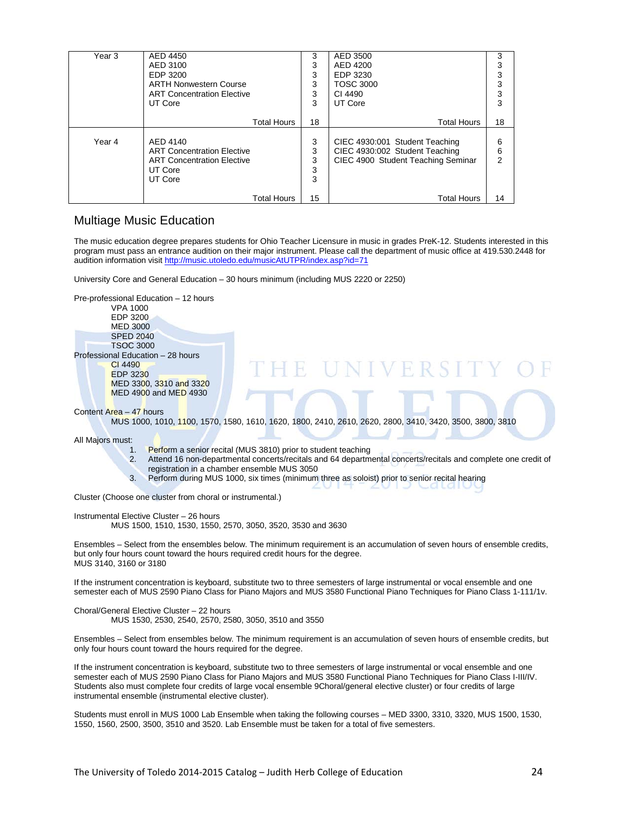| Year 3 | AED 4450                          | 3  | AED 3500                           | 3  |
|--------|-----------------------------------|----|------------------------------------|----|
|        | AED 3100                          | 3  | AED 4200                           |    |
|        | EDP 3200                          | 3  | EDP 3230                           |    |
|        | <b>ARTH Nonwestern Course</b>     | 3  | <b>TOSC 3000</b>                   |    |
|        | <b>ART Concentration Elective</b> | 3  | CI 4490                            |    |
|        | UT Core                           | 3  | UT Core                            | з  |
|        |                                   |    |                                    |    |
|        | <b>Total Hours</b>                | 18 | <b>Total Hours</b>                 | 18 |
|        |                                   |    |                                    |    |
| Year 4 | AED 4140                          | 3  | CIEC 4930:001 Student Teaching     | 6  |
|        | <b>ART Concentration Elective</b> | 3  | CIEC 4930:002 Student Teaching     | 6  |
|        | <b>ART Concentration Elective</b> | 3  | CIEC 4900 Student Teaching Seminar | 2  |
|        | UT Core                           | 3  |                                    |    |
|        | UT Core                           | 3  |                                    |    |
|        |                                   |    |                                    |    |
|        | <b>Total Hours</b>                | 15 | <b>Total Hours</b>                 | 14 |

#### Multiage Music Education

The music education degree prepares students for Ohio Teacher Licensure in music in grades PreK-12. Students interested in this program must pass an entrance audition on their major instrument. Please call the department of music office at 419.530.2448 for audition information visit<http://music.utoledo.edu/musicAtUTPR/index.asp?id=71>

University Core and General Education – 30 hours minimum (including MUS 2220 or 2250)

Pre-professional Education – 12 hours VPA 1000 EDP 3200 MED 3000 SPED 2040 TSOC 3000 Professional Education – 28 hours CI 4490 EDP 3230 MED 3300, 3310 and 3320 MED 4900 and MED 4930

Content Area – 47 hours

MUS 1000, 1010, 1100, 1570, 1580, 1610, 1620, 1800, 2410, 2610, 2620, 2800, 3410, 3420, 3500, 3800, 3810

All Majors must:

- 1. Perform a senior recital (MUS 3810) prior to student teaching<br>2. Attend 16 non-departmental concerts/recitals and 64 departm
- 2. Attend 16 non-departmental concerts/recitals and 64 departmental concerts/recitals and complete one credit of registration in a chamber ensemble MUS 3050

E UNIVERSITY

3. Perform during MUS 1000, six times (minimum three as soloist) prior to senior recital hearing

Cluster (Choose one cluster from choral or instrumental.)

Instrumental Elective Cluster – 26 hours

MUS 1500, 1510, 1530, 1550, 2570, 3050, 3520, 3530 and 3630

Ensembles – Select from the ensembles below. The minimum requirement is an accumulation of seven hours of ensemble credits, but only four hours count toward the hours required credit hours for the degree. MUS 3140, 3160 or 3180

If the instrument concentration is keyboard, substitute two to three semesters of large instrumental or vocal ensemble and one semester each of MUS 2590 Piano Class for Piano Majors and MUS 3580 Functional Piano Techniques for Piano Class 1-111/1v.

Choral/General Elective Cluster – 22 hours MUS 1530, 2530, 2540, 2570, 2580, 3050, 3510 and 3550

Ensembles – Select from ensembles below. The minimum requirement is an accumulation of seven hours of ensemble credits, but only four hours count toward the hours required for the degree.

If the instrument concentration is keyboard, substitute two to three semesters of large instrumental or vocal ensemble and one semester each of MUS 2590 Piano Class for Piano Majors and MUS 3580 Functional Piano Techniques for Piano Class I-III/IV. Students also must complete four credits of large vocal ensemble 9Choral/general elective cluster) or four credits of large instrumental ensemble (instrumental elective cluster).

Students must enroll in MUS 1000 Lab Ensemble when taking the following courses – MED 3300, 3310, 3320, MUS 1500, 1530, 1550, 1560, 2500, 3500, 3510 and 3520. Lab Ensemble must be taken for a total of five semesters.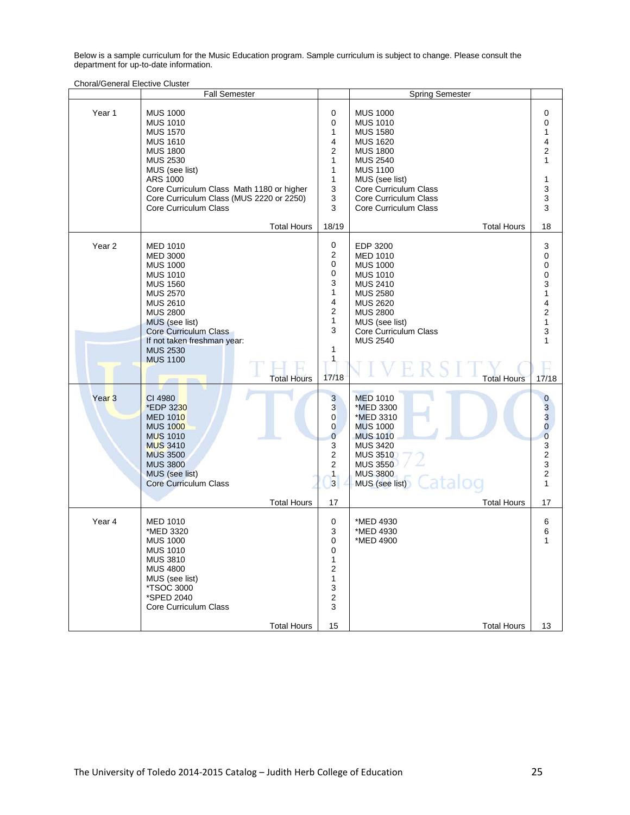Below is a sample curriculum for the Music Education program. Sample curriculum is subject to change. Please consult the department for up-to-date information.

Choral/General Elective Cluster

|                             | <b>Fall Semester</b>                                                                                                                                                                                                                                                                                                                                                                                                                                                                                           |                                                                                                                                                                                                                                         | <b>Spring Semester</b>                                                                                                                                                                                                                                                                                                                                                                                                        |                                                                                                                                                                                                                    |
|-----------------------------|----------------------------------------------------------------------------------------------------------------------------------------------------------------------------------------------------------------------------------------------------------------------------------------------------------------------------------------------------------------------------------------------------------------------------------------------------------------------------------------------------------------|-----------------------------------------------------------------------------------------------------------------------------------------------------------------------------------------------------------------------------------------|-------------------------------------------------------------------------------------------------------------------------------------------------------------------------------------------------------------------------------------------------------------------------------------------------------------------------------------------------------------------------------------------------------------------------------|--------------------------------------------------------------------------------------------------------------------------------------------------------------------------------------------------------------------|
| Year 1                      | <b>MUS 1000</b><br><b>MUS 1010</b><br><b>MUS 1570</b><br><b>MUS 1610</b><br><b>MUS 1800</b><br><b>MUS 2530</b><br>MUS (see list)<br>ARS 1000<br>Core Curriculum Class Math 1180 or higher<br>Core Curriculum Class (MUS 2220 or 2250)<br>Core Curriculum Class<br><b>Total Hours</b>                                                                                                                                                                                                                           | 0<br>0<br>1<br>4<br>$\overline{2}$<br>$\mathbf{1}$<br>1<br>1<br>3<br>3<br>3<br>18/19                                                                                                                                                    | <b>MUS 1000</b><br><b>MUS 1010</b><br><b>MUS 1580</b><br><b>MUS 1620</b><br><b>MUS 1800</b><br><b>MUS 2540</b><br><b>MUS 1100</b><br>MUS (see list)<br>Core Curriculum Class<br>Core Curriculum Class<br>Core Curriculum Class<br><b>Total Hours</b>                                                                                                                                                                          | 0<br>0<br>1<br>4<br>$\overline{c}$<br>1<br>1<br>3<br>3<br>3<br>18                                                                                                                                                  |
| Year 2<br>Year <sub>3</sub> | <b>MED 1010</b><br><b>MED 3000</b><br><b>MUS 1000</b><br><b>MUS 1010</b><br><b>MUS 1560</b><br><b>MUS 2570</b><br><b>MUS 2610</b><br><b>MUS 2800</b><br>MUS (see list)<br>Core Curriculum Class<br>If not taken freshman year:<br><b>MUS 2530</b><br><b>MUS 1100</b><br><b>Total Hours</b><br><b>STATE COMPANY</b><br>CI 4980<br>*EDP 3230<br><b>MED 1010</b><br><b>MUS 1000</b><br><b>MUS 1010</b><br><b>MUS 3410</b><br><b>MUS 3500</b><br><b>MUS 3800</b><br>MUS (see list)<br><b>Core Curriculum Class</b> | 0<br>2<br>0<br>0<br>3<br>$\mathbf{1}$<br>4<br>$\mathbf 2$<br>$\mathbf{1}$<br>3<br>1<br>1<br>17/18<br>3<br>3<br>$\overline{0}$<br>$\mathbf{0}$<br>$\overline{0}$<br>3<br>$\mathbf 2$<br>$\overline{2}$<br>$\mathbf{1}$<br>$\overline{3}$ | EDP 3200<br><b>MED 1010</b><br><b>MUS 1000</b><br><b>MUS 1010</b><br><b>MUS 2410</b><br><b>MUS 2580</b><br><b>MUS 2620</b><br><b>MUS 2800</b><br>MUS (see list)<br>Core Curriculum Class<br><b>MUS 2540</b><br><b>Total Hours</b><br><b>MED 1010</b><br>*MED 3300<br>*MED 3310<br><b>MUS 1000</b><br><b>MUS 1010</b><br><b>MUS 3420</b><br><b>MUS 3510</b><br><b>MUS 3550</b><br><b>MUS 3800</b><br>Catalog<br>MUS (see list) | 3<br>$\pmb{0}$<br>0<br>0<br>3<br>1<br>4<br>$\overline{2}$<br>1<br>3<br>1<br>H.<br>17/18<br>$\bf{0}$<br>$\frac{3}{3}$<br>$\overline{0}$<br>$\overline{0}$<br>3<br>$\frac{2}{3}$<br>$\boldsymbol{2}$<br>$\mathbf{1}$ |
| Year <sub>4</sub>           | <b>Total Hours</b><br><b>MED 1010</b><br>*MED 3320<br><b>MUS 1000</b><br><b>MUS 1010</b><br><b>MUS 3810</b><br><b>MUS 4800</b><br>MUS (see list)<br><i><b>*TSOC 3000</b></i><br>*SPED 2040<br>Core Curriculum Class<br><b>Total Hours</b>                                                                                                                                                                                                                                                                      | 17<br>0<br>3<br>0<br>0<br>1<br>2<br>1<br>3<br>$\overline{\mathbf{c}}$<br>3<br>15                                                                                                                                                        | <b>Total Hours</b><br>*MED 4930<br>*MED 4930<br>*MED 4900<br><b>Total Hours</b>                                                                                                                                                                                                                                                                                                                                               | 17<br>6<br>6<br>1<br>13                                                                                                                                                                                            |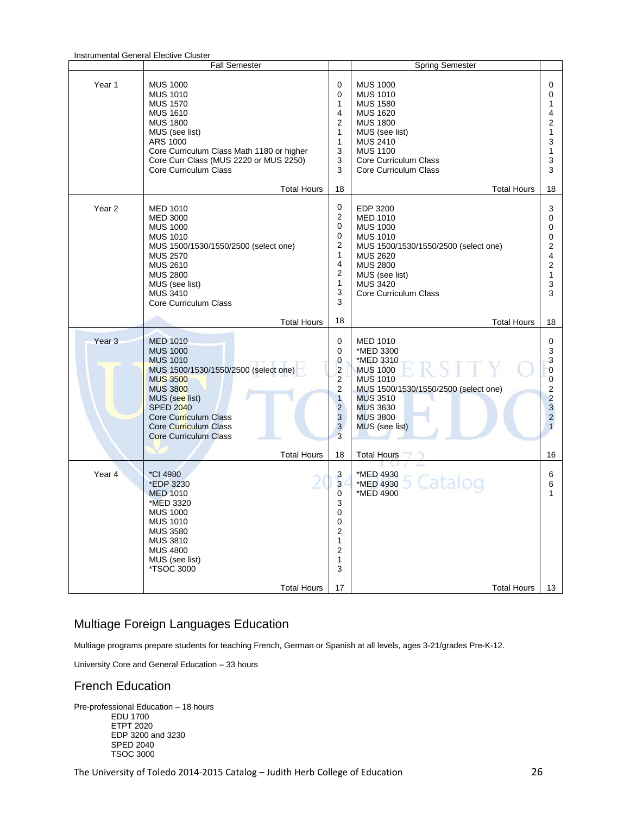|                   | monumental Ochelal Electric Oldstei<br>Fall Semester                                                                                                                                                                                                               |                                                                                                                             | <b>Spring Semester</b>                                                                                                                                                                                                              |                                                                                                    |
|-------------------|--------------------------------------------------------------------------------------------------------------------------------------------------------------------------------------------------------------------------------------------------------------------|-----------------------------------------------------------------------------------------------------------------------------|-------------------------------------------------------------------------------------------------------------------------------------------------------------------------------------------------------------------------------------|----------------------------------------------------------------------------------------------------|
| Year 1            | <b>MUS 1000</b><br><b>MUS 1010</b><br><b>MUS 1570</b><br><b>MUS 1610</b><br><b>MUS 1800</b><br>MUS (see list)<br>ARS 1000<br>Core Curriculum Class Math 1180 or higher<br>Core Curr Class (MUS 2220 or MUS 2250)<br>Core Curriculum Class                          | $\Omega$<br>$\mathbf 0$<br>1<br>$\overline{4}$<br>2<br>1<br>1<br>3<br>3<br>3                                                | <b>MUS 1000</b><br><b>MUS 1010</b><br><b>MUS 1580</b><br><b>MUS 1620</b><br><b>MUS 1800</b><br>MUS (see list)<br><b>MUS 2410</b><br><b>MUS 1100</b><br>Core Curriculum Class<br>Core Curriculum Class                               | $\Omega$<br>$\Omega$<br>1<br>4<br>$\overline{2}$<br>1<br>3<br>1<br>3<br>3                          |
| Year <sub>2</sub> | <b>Total Hours</b><br><b>MED 1010</b><br><b>MED 3000</b><br><b>MUS 1000</b><br><b>MUS 1010</b><br>MUS 1500/1530/1550/2500 (select one)<br><b>MUS 2570</b><br><b>MUS 2610</b><br><b>MUS 2800</b><br>MUS (see list)<br><b>MUS 3410</b><br>Core Curriculum Class      | 18<br>0<br>2<br>0<br>0<br>$\overline{\mathbf{c}}$<br>1<br>$\overline{4}$<br>$\overline{2}$<br>1<br>3<br>3                   | <b>Total Hours</b><br>EDP 3200<br><b>MED 1010</b><br><b>MUS 1000</b><br><b>MUS 1010</b><br>MUS 1500/1530/1550/2500 (select one)<br><b>MUS 2620</b><br><b>MUS 2800</b><br>MUS (see list)<br><b>MUS 3420</b><br>Core Curriculum Class | 18<br>3<br>$\Omega$<br>0<br>0<br>2<br>4<br>$\overline{2}$<br>1<br>3<br>3                           |
|                   | <b>Total Hours</b>                                                                                                                                                                                                                                                 | 18                                                                                                                          | <b>Total Hours</b>                                                                                                                                                                                                                  | 18                                                                                                 |
| Year <sub>3</sub> | <b>MED 1010</b><br><b>MUS 1000</b><br><b>MUS 1010</b><br>MUS 1500/1530/1550/2500 (select one)<br><b>MUS 3500</b><br><b>MUS 3800</b><br>MUS (see list)<br><b>SPED 2040</b><br>Core Curriculum Class<br><b>Core Curriculum Class</b><br><b>Core Curriculum Class</b> | $\mathbf 0$<br>0<br>0<br>$\overline{c}$<br>$\overline{2}$<br>$\mathbf 2$<br>$\overline{1}$<br>$\overline{c}$<br>3<br>3<br>3 | <b>MED 1010</b><br>*MED 3300<br>*MED 3310<br><b>MUS 1000</b><br><b>MUS 1010</b><br>MUS 1500/1530/1550/2500 (select one)<br><b>MUS 3510</b><br><b>MUS 3630</b><br><b>MUS 3800</b><br>MUS (see list)                                  | 0<br>3<br>3<br>0<br>0<br>$\overline{2}$<br>$\overline{2}$<br>3<br>$\overline{2}$<br>$\overline{1}$ |
|                   | <b>Total Hours</b>                                                                                                                                                                                                                                                 | 18                                                                                                                          | <b>Total Hours</b>                                                                                                                                                                                                                  | 16                                                                                                 |
| Year <sub>4</sub> | *CI 4980<br>*EDP 3230<br><b>MED 1010</b><br>*MED 3320<br><b>MUS 1000</b><br><b>MUS 1010</b><br><b>MUS 3580</b><br><b>MUS 3810</b><br><b>MUS 4800</b><br>MUS (see list)<br>*TSOC 3000<br><b>Total Hours</b>                                                         | 3<br>3<br>0<br>3<br>$\Omega$<br>$\mathbf 0$<br>$\overline{2}$<br>$\mathbf{1}$<br>$\overline{\mathbf{c}}$<br>1<br>3<br>17    | *MED 4930<br>5 Catalog<br>*MED 4930<br>*MED 4900<br><b>Total Hours</b>                                                                                                                                                              | 6<br>6<br>1<br>13                                                                                  |

### Multiage Foreign Languages Education

Multiage programs prepare students for teaching French, German or Spanish at all levels, ages 3-21/grades Pre-K-12.

University Core and General Education – 33 hours

#### French Education

Pre-professional Education – 18 hours EDU 1700 ETPT 2020 EDP 3200 and 3230 SPED 2040 TSOC 3000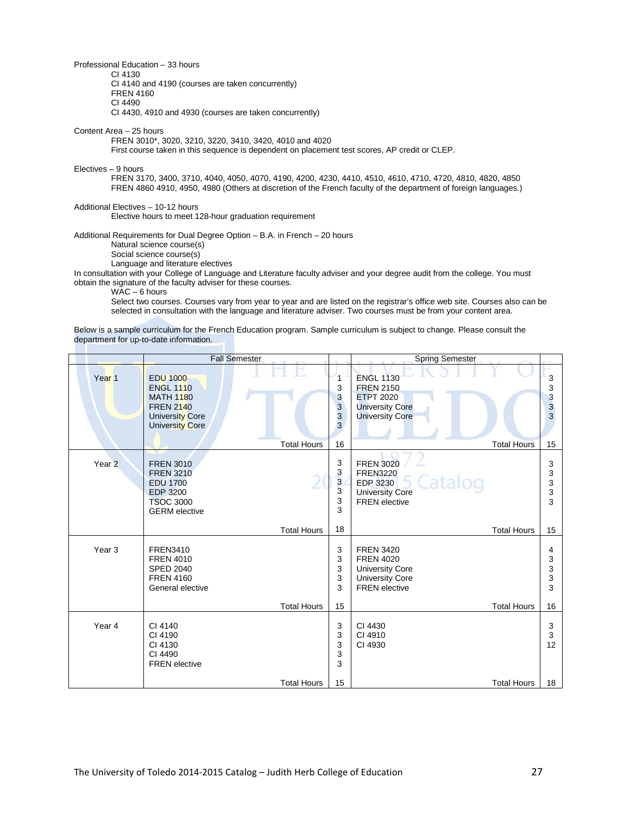Professional Education – 33 hours CI 4130 CI 4140 and 4190 (courses are taken concurrently) FREN 4160 CI 4490 CI 4430, 4910 and 4930 (courses are taken concurrently)

Content Area – 25 hours

FREN 3010\*, 3020, 3210, 3220, 3410, 3420, 4010 and 4020

First course taken in this sequence is dependent on placement test scores, AP credit or CLEP.

Electives – 9 hours

FREN 3170, 3400, 3710, 4040, 4050, 4070, 4190, 4200, 4230, 4410, 4510, 4610, 4710, 4720, 4810, 4820, 4850 FREN 4860 4910, 4950, 4980 (Others at discretion of the French faculty of the department of foreign languages.)

Additional Electives – 10-12 hours Elective hours to meet 128-hour graduation requirement

Additional Requirements for Dual Degree Option – B.A. in French – 20 hours Natural science course(s)

Social science course(s)

Language and literature electives

In consultation with your College of Language and Literature faculty adviser and your degree audit from the college. You must obtain the signature of the faculty adviser for these courses.

WAC – 6 hours

Select two courses. Courses vary from year to year and are listed on the registrar's office web site. Courses also can be selected in consultation with the language and literature adviser. Two courses must be from your content area.

Below is a sample curriculum for the French Education program. Sample curriculum is subject to change. Please consult the department for up-to-date information.

|                   | <b>Fall Semester</b>                                                                                                            |                    |                                         | <b>Spring Semester</b>                                                                                              |                    |                       |
|-------------------|---------------------------------------------------------------------------------------------------------------------------------|--------------------|-----------------------------------------|---------------------------------------------------------------------------------------------------------------------|--------------------|-----------------------|
| Year <sub>1</sub> | <b>EDU 1000</b><br><b>ENGL 1110</b><br><b>MATH 1180</b><br><b>FREN 2140</b><br><b>University Core</b><br><b>University Core</b> |                    | 1<br>3<br>3<br>3<br>3<br>3              | <b>ENGL 1130</b><br><b>FREN 2150</b><br><b>ETPT 2020</b><br><b>University Core</b><br><b>University Core</b>        |                    | 3<br>3<br>3<br>3<br>3 |
|                   |                                                                                                                                 | <b>Total Hours</b> | 16                                      |                                                                                                                     | <b>Total Hours</b> | 15                    |
| Year <sub>2</sub> | <b>FREN 3010</b><br><b>FREN 3210</b><br><b>EDU 1700</b><br><b>EDP 3200</b><br><b>TSOC 3000</b><br><b>GERM</b> elective          |                    | 3<br>3<br>$\overline{3}$<br>3<br>3<br>3 | <b>FREN 3020</b><br><b>FREN3220</b><br>Catalog<br><b>EDP 3230</b><br><b>University Core</b><br><b>FREN</b> elective |                    | 3<br>3<br>3<br>3<br>3 |
|                   |                                                                                                                                 | <b>Total Hours</b> | 18                                      |                                                                                                                     | <b>Total Hours</b> | 15                    |
| Year <sub>3</sub> | <b>FREN3410</b><br><b>FREN 4010</b><br><b>SPED 2040</b><br><b>FREN 4160</b><br>General elective                                 |                    | 3<br>3<br>3<br>3<br>3                   | <b>FREN 3420</b><br><b>FREN 4020</b><br><b>University Core</b><br><b>University Core</b><br><b>FREN</b> elective    |                    | 4<br>3<br>3<br>3<br>3 |
|                   |                                                                                                                                 | <b>Total Hours</b> | 15                                      |                                                                                                                     | <b>Total Hours</b> | 16                    |
| Year 4            | CI 4140<br>CI 4190<br>CI 4130<br>CI 4490<br><b>FREN</b> elective                                                                |                    | 3<br>3<br>3<br>3<br>3                   | CI 4430<br>CI 4910<br>CI 4930                                                                                       |                    | 3<br>3<br>12          |
|                   |                                                                                                                                 | <b>Total Hours</b> | 15                                      |                                                                                                                     | <b>Total Hours</b> | 18                    |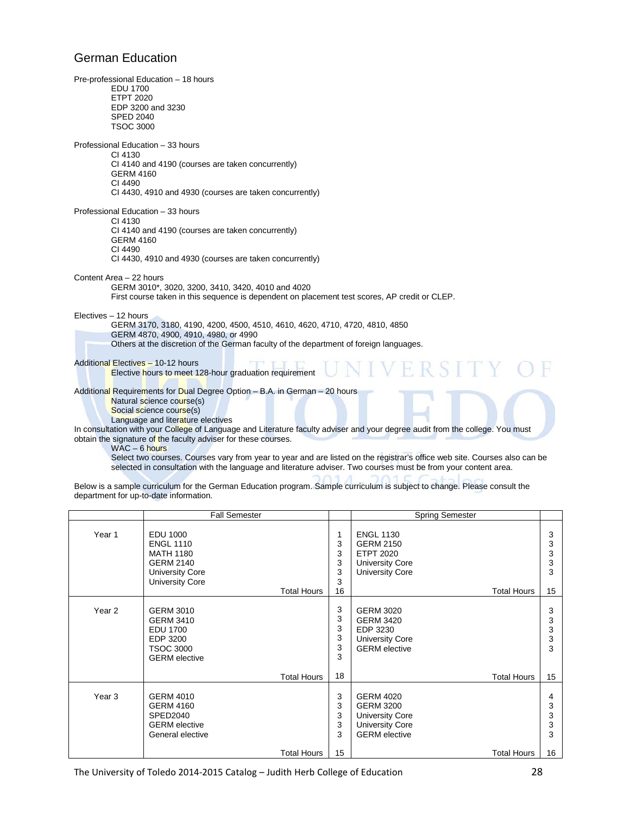## German Education

| Pre-professional Education - 18 hours<br><b>EDU 1700</b><br><b>ETPT 2020</b><br>EDP 3200 and 3230<br><b>SPED 2040</b><br><b>TSOC 3000</b>                                                                                                                                                                                                                                                                                                                         |
|-------------------------------------------------------------------------------------------------------------------------------------------------------------------------------------------------------------------------------------------------------------------------------------------------------------------------------------------------------------------------------------------------------------------------------------------------------------------|
| Professional Education - 33 hours<br>CI 4130<br>CI 4140 and 4190 (courses are taken concurrently)<br><b>GERM 4160</b><br>CI 4490<br>CI 4430, 4910 and 4930 (courses are taken concurrently)                                                                                                                                                                                                                                                                       |
| Professional Education - 33 hours<br>CI 4130<br>CI 4140 and 4190 (courses are taken concurrently)<br>GERM 4160<br>CI 4490<br>CI 4430, 4910 and 4930 (courses are taken concurrently)                                                                                                                                                                                                                                                                              |
| Content Area - 22 hours<br>GERM 3010*, 3020, 3200, 3410, 3420, 4010 and 4020<br>First course taken in this sequence is dependent on placement test scores, AP credit or CLEP.                                                                                                                                                                                                                                                                                     |
| Electives - 12 hours<br>GERM 3170, 3180, 4190, 4200, 4500, 4510, 4610, 4620, 4710, 4720, 4810, 4850<br>GERM 4870, 4900, 4910, 4980, or 4990<br>Others at the discretion of the German faculty of the department of foreign languages.                                                                                                                                                                                                                             |
| Additional Electives - 10-12 hours<br><b>IVERSITY</b><br><b>Elective hours to meet 128-hour graduation requirement</b>                                                                                                                                                                                                                                                                                                                                            |
| Additional Requirements for Dual Degree Option - B.A. in German - 20 hours<br>Natural science course(s)<br>Social science course(s)<br>Language and literature electives                                                                                                                                                                                                                                                                                          |
| In consultation with your College of Language and Literature faculty adviser and your degree audit from the college. You must<br>obtain the signature of the faculty adviser for these courses.<br>$WAC - 6$ hours<br>Select two courses. Courses vary from year to year and are listed on the registrar's office web site. Courses also can be<br>selected in consultation with the language and literature adviser. Two courses must be from your content area. |

Below is a sample curriculum for the German Education program. Sample curriculum is subject to change. Please consult the department for up-to-date information.

|                   | <b>Fall Semester</b>                                                                                                                           |                                  | <b>Spring Semester</b>                                                                                                             |                             |
|-------------------|------------------------------------------------------------------------------------------------------------------------------------------------|----------------------------------|------------------------------------------------------------------------------------------------------------------------------------|-----------------------------|
| Year 1            | EDU 1000<br><b>ENGL 1110</b><br><b>MATH 1180</b><br><b>GERM 2140</b><br><b>University Core</b><br><b>University Core</b><br><b>Total Hours</b> | 1<br>3<br>3<br>3<br>3<br>3<br>16 | <b>ENGL 1130</b><br><b>GERM 2150</b><br><b>ETPT 2020</b><br><b>University Core</b><br><b>University Core</b><br><b>Total Hours</b> | 3<br>3<br>3<br>3<br>3<br>15 |
| Year <sub>2</sub> | <b>GERM 3010</b><br><b>GERM 3410</b><br><b>EDU 1700</b><br>EDP 3200<br><b>TSOC 3000</b><br><b>GERM</b> elective                                | 3<br>3<br>3<br>3<br>3<br>3       | <b>GERM 3020</b><br><b>GERM 3420</b><br>EDP 3230<br><b>University Core</b><br><b>GERM</b> elective                                 | 3<br>3<br>3<br>3<br>3       |
|                   | <b>Total Hours</b>                                                                                                                             | 18                               | <b>Total Hours</b>                                                                                                                 | 15                          |
| Year 3            | <b>GERM 4010</b><br><b>GERM 4160</b><br>SPED2040<br><b>GERM</b> elective<br>General elective                                                   | 3<br>3<br>3<br>3<br>3            | <b>GERM 4020</b><br><b>GERM 3200</b><br><b>University Core</b><br><b>University Core</b><br><b>GERM</b> elective                   | 4<br>3<br>3<br>3<br>3       |
|                   | Total Hours                                                                                                                                    | 15                               | Total Hours                                                                                                                        | 16                          |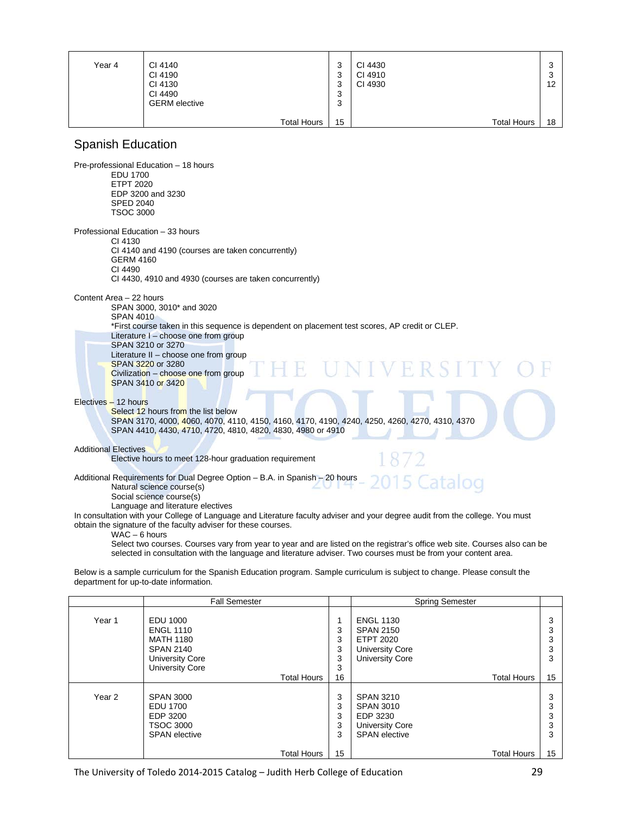| Year 4 | CI 4140              | っ<br>د،  | CI 4430 |                    | ົ<br>w |
|--------|----------------------|----------|---------|--------------------|--------|
|        | CI 4190              | っ<br>ر   | CI 4910 |                    | ◠<br>J |
|        | CI 4130              | っ<br>J   | CI 4930 |                    | 12     |
|        | CI 4490              | ົ<br>ر   |         |                    |        |
|        | <b>GERM</b> elective | っ<br>- ა |         |                    |        |
|        |                      |          |         |                    |        |
|        | <b>Total Hours</b>   | 15       |         | <b>Total Hours</b> | 18     |

#### Spanish Education

Pre-professional Education – 18 hours EDU 1700 ETPT 2020 EDP 3200 and 3230 SPED 2040 TSOC 3000 Professional Education – 33 hours CI 4130 CI 4140 and 4190 (courses are taken concurrently) GERM 4160 CI 4490 CI 4430, 4910 and 4930 (courses are taken concurrently) Content Area – 22 hours SPAN 3000, 3010\* and 3020 SPAN 4010 \*First course taken in this sequence is dependent on placement test scores, AP credit or CLEP. Literature I – choose one from group SPAN 3210 or 3270 Literature II – choose one from group SPAN 3220 or 3280 Civilization – choose one from group SPAN 3410 or 3420 Electives – 12 hours Select 12 hours from the list below SPAN 3170, 4000, 4060, 4070, 4110, 4150, 4160, 4170, 4190, 4240, 4250, 4260, 4270, 4310, 4370 SPAN 4410, 4430, 4710, 4720, 4810, 4820, 4830, 4980 or 4910 Additional Electives Elective hours to meet 128-hour graduation requirement Additional Requirements for Dual Degree Option – B.A. in Spanish – 20 hours Catalog Natural science course(s) Social science course(s) Language and literature electives In consultation with your College of Language and Literature faculty adviser and your degree audit from the college. You must

obtain the signature of the faculty adviser for these courses.

WAC – 6 hours

Select two courses. Courses vary from year to year and are listed on the registrar's office web site. Courses also can be selected in consultation with the language and literature adviser. Two courses must be from your content area.

Below is a sample curriculum for the Spanish Education program. Sample curriculum is subject to change. Please consult the department for up-to-date information.

|        | <b>Fall Semester</b>                                                                                                     |                       | Spring Semester                                                                                              |             |
|--------|--------------------------------------------------------------------------------------------------------------------------|-----------------------|--------------------------------------------------------------------------------------------------------------|-------------|
| Year 1 | EDU 1000<br><b>ENGL 1110</b><br><b>MATH 1180</b><br><b>SPAN 2140</b><br><b>University Core</b><br><b>University Core</b> | 3<br>3<br>3<br>3<br>3 | <b>ENGL 1130</b><br><b>SPAN 2150</b><br><b>ETPT 2020</b><br><b>University Core</b><br><b>University Core</b> | 3           |
|        | <b>Total Hours</b>                                                                                                       | 16                    | <b>Total Hours</b>                                                                                           | 15          |
| Year 2 | <b>SPAN 3000</b><br>EDU 1700<br>EDP 3200<br><b>TSOC 3000</b><br><b>SPAN</b> elective                                     | 3<br>3<br>3<br>3<br>3 | SPAN 3210<br><b>SPAN 3010</b><br>EDP 3230<br><b>University Core</b><br><b>SPAN</b> elective                  | 3<br>ົ<br>3 |
|        | <b>Total Hours</b>                                                                                                       | 15                    | <b>Total Hours</b>                                                                                           | 15          |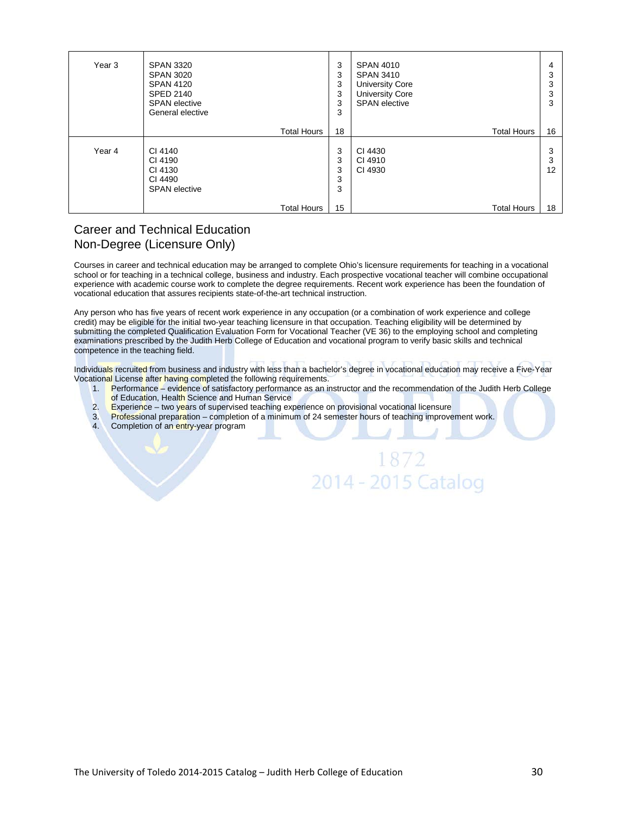| Year 3 | <b>SPAN 3320</b><br><b>SPAN 3020</b><br><b>SPAN 4120</b><br><b>SPED 2140</b><br><b>SPAN</b> elective<br>General elective | 3<br>3<br>3<br>3<br>3<br>3 | <b>SPAN 4010</b><br><b>SPAN 3410</b><br><b>University Core</b><br><b>University Core</b><br><b>SPAN</b> elective | 4<br>3<br>3<br>3<br>3 |
|--------|--------------------------------------------------------------------------------------------------------------------------|----------------------------|------------------------------------------------------------------------------------------------------------------|-----------------------|
|        | <b>Total Hours</b>                                                                                                       | 18                         | <b>Total Hours</b>                                                                                               | 16                    |
| Year 4 | CI 4140<br>CI 4190<br>CI 4130<br>CI 4490<br><b>SPAN</b> elective                                                         | 3<br>3<br>3<br>3<br>3      | CI 4430<br>CI 4910<br>CI 4930                                                                                    | 3<br>3<br>12          |
|        | <b>Total Hours</b>                                                                                                       | 15                         | <b>Total Hours</b>                                                                                               | 18                    |

#### Career and Technical Education Non-Degree (Licensure Only)

Courses in career and technical education may be arranged to complete Ohio's licensure requirements for teaching in a vocational school or for teaching in a technical college, business and industry. Each prospective vocational teacher will combine occupational experience with academic course work to complete the degree requirements. Recent work experience has been the foundation of vocational education that assures recipients state-of-the-art technical instruction.

Any person who has five years of recent work experience in any occupation (or a combination of work experience and college credit) may be eligible for the initial two-year teaching licensure in that occupation. Teaching eligibility will be determined by submitting the completed Qualification Evaluation Form for Vocational Teacher (VE 36) to the employing school and completing examinations prescribed by the Judith Herb College of Education and vocational program to verify basic skills and technical competence in the teaching field.

Individuals recruited from business and industry with less than a bachelor's degree in vocational education may receive a Five-Year Vocational License after having completed the following requirements.

1. Performance – evidence of satisfactory performance as an instructor and the recommendation of the Judith Herb College

1872

2014 - 2015 Catalog

- of Education, Health Science and Human Service
- 2. Experience two years of supervised teaching experience on provisional vocational licensure<br>3. Professional preparation completion of a minimum of 24 semester hours of teaching improve
- Professional preparation completion of a minimum of 24 semester hours of teaching improvement work. 4. Completion of an entry-year program
-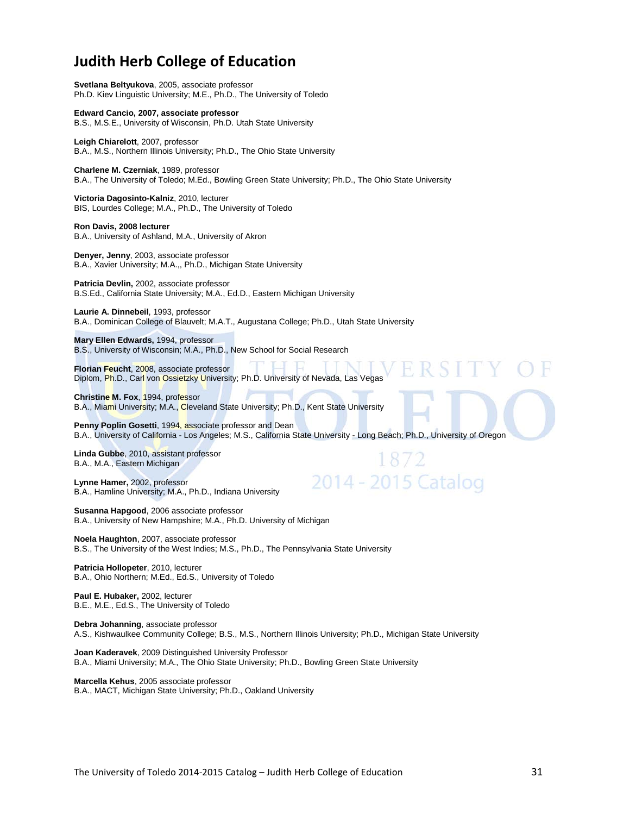## **Judith Herb College of Education**

**Svetlana Beltyukova**, 2005, associate professor Ph.D. Kiev Linguistic University; M.E., Ph.D., The University of Toledo

**Edward Cancio, 2007, associate professor**  B.S., M.S.E., University of Wisconsin, Ph.D. Utah State University

**Leigh Chiarelott**, 2007, professor B.A., M.S., Northern Illinois University; Ph.D., The Ohio State University

**Charlene M. Czerniak**, 1989, professor B.A., The University of Toledo; M.Ed., Bowling Green State University; Ph.D., The Ohio State University

**Victoria Dagosinto-Kalniz**, 2010, lecturer BIS, Lourdes College; M.A., Ph.D., The University of Toledo

**Ron Davis, 2008 lecturer**  B.A., University of Ashland, M.A., University of Akron

**Denyer, Jenny**, 2003, associate professor B.A., Xavier University; M.A.,, Ph.D., Michigan State University

**Patricia Devlin,** 2002, associate professor B.S.Ed., California State University; M.A., Ed.D., Eastern Michigan University

**Laurie A. Dinnebeil**, 1993, professor B.A., Dominican College of Blauvelt; M.A.T., Augustana College; Ph.D., Utah State University

**Mary Ellen Edwards,** 1994, professor B.S., University of Wisconsin; M.A., Ph.D., New School for Social Research

**Florian Feucht**, 2008, associate professor Diplom, Ph.D., Carl von Ossietzky University; Ph.D. University of Nevada, Las Vegas

**Christine M. Fox**, 1994, professor B.A., Miami University; M.A., Cleveland State University; Ph.D., Kent State University

Penny Poplin Gosetti, 1994, associate professor and Dean B.A., University of California - Los Angeles; M.S., California State University - Long Beach; Ph.D., University of Oregon

2014 - 2015 Catalog

**Linda Gubbe**, 2010, assistant professor B.A., M.A., Eastern Michigan

**Lynne Hamer,** 2002, professor B.A., Hamline University; M.A., Ph.D., Indiana University

**Susanna Hapgood**, 2006 associate professor B.A., University of New Hampshire; M.A., Ph.D. University of Michigan

**Noela Haughton**, 2007, associate professor B.S., The University of the West Indies; M.S., Ph.D., The Pennsylvania State University

**Patricia Hollopeter**, 2010, lecturer B.A., Ohio Northern; M.Ed., Ed.S., University of Toledo

**Paul E. Hubaker,** 2002, lecturer B.E., M.E., Ed.S., The University of Toledo

**Debra Johanning**, associate professor A.S., Kishwaulkee Community College; B.S., M.S., Northern Illinois University; Ph.D., Michigan State University

**Joan Kaderavek**, 2009 Distinguished University Professor B.A., Miami University; M.A., The Ohio State University; Ph.D., Bowling Green State University

**Marcella Kehus**, 2005 associate professor B.A., MACT, Michigan State University; Ph.D., Oakland University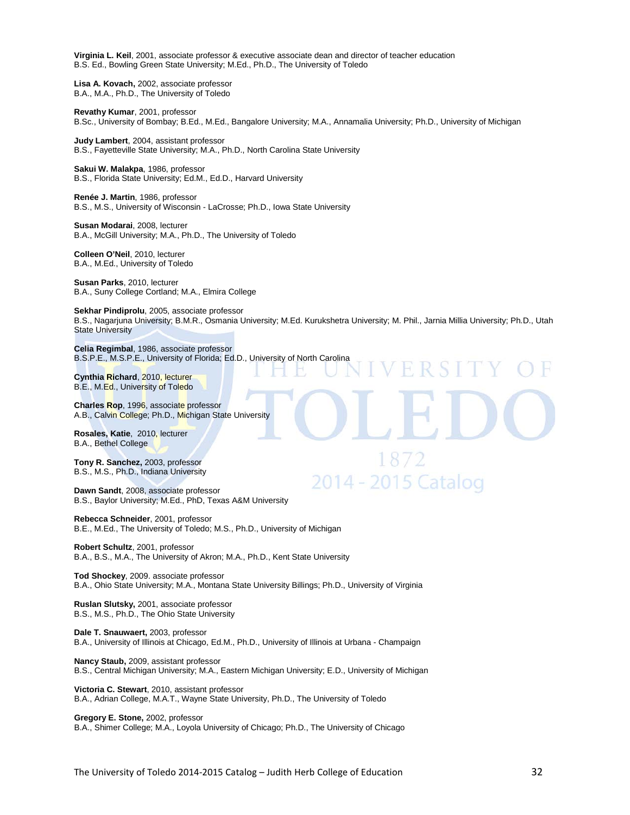**Virginia L. Keil**, 2001, associate professor & executive associate dean and director of teacher education B.S. Ed., Bowling Green State University; M.Ed., Ph.D., The University of Toledo

**Lisa A. Kovach,** 2002, associate professor B.A., M.A., Ph.D., The University of Toledo

**Revathy Kumar**, 2001, professor B.Sc., University of Bombay; B.Ed., M.Ed., Bangalore University; M.A., Annamalia University; Ph.D., University of Michigan

**Judy Lambert**, 2004, assistant professor B.S., Fayetteville State University; M.A., Ph.D., North Carolina State University

**Sakui W. Malakpa**, 1986, professor B.S., Florida State University; Ed.M., Ed.D., Harvard University

**Renée J. Martin**, 1986, professor B.S., M.S., University of Wisconsin - LaCrosse; Ph.D., Iowa State University

**Susan Modarai**, 2008, lecturer B.A., McGill University; M.A., Ph.D., The University of Toledo

**Colleen O'Neil**, 2010, lecturer B.A., M.Ed., University of Toledo

**Susan Parks**, 2010, lecturer B.A., Suny College Cortland; M.A., Elmira College

**Sekhar Pindiprolu**, 2005, associate professor B.S., Nagarjuna University; B.M.R., Osmania University; M.Ed. Kurukshetra University; M. Phil., Jarnia Millia University; Ph.D., Utah State University

1872

2014 - 2015 Cataloo

**Celia Regimbal**, 1986, associate professor B.S.P.E., M.S.P.E., University of Florida; Ed.D., University of North Carolina

**Cynthia Richard**, 2010, lecturer B.E., M.Ed., University of Toledo

**Charles Rop**, 1996, associate professor A.B., Calvin College; Ph.D., Michigan State University

**Rosales, Katie**, 2010, lecturer B.A., Bethel College

**Tony R. Sanchez,** 2003, professor B.S., M.S., Ph.D., Indiana University

**Dawn Sandt**, 2008, associate professor B.S., Baylor University; M.Ed., PhD, Texas A&M University

**Rebecca Schneider**, 2001, professor B.E., M.Ed., The University of Toledo; M.S., Ph.D., University of Michigan

**Robert Schultz**, 2001, professor B.A., B.S., M.A., The University of Akron; M.A., Ph.D., Kent State University

**Tod Shockey**, 2009. associate professor B.A., Ohio State University; M.A., Montana State University Billings; Ph.D., University of Virginia

**Ruslan Slutsky,** 2001, associate professor B.S., M.S., Ph.D., The Ohio State University

**Dale T. Snauwaert,** 2003, professor B.A., University of Illinois at Chicago, Ed.M., Ph.D., University of Illinois at Urbana - Champaign

**Nancy Staub,** 2009, assistant professor B.S., Central Michigan University; M.A., Eastern Michigan University; E.D., University of Michigan

**Victoria C. Stewart**, 2010, assistant professor B.A., Adrian College, M.A.T., Wayne State University, Ph.D., The University of Toledo

**Gregory E. Stone,** 2002, professor B.A., Shimer College; M.A., Loyola University of Chicago; Ph.D., The University of Chicago